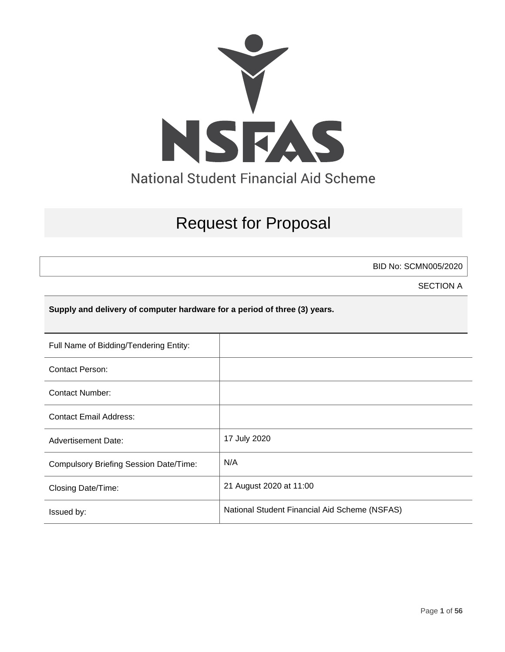

# Request for Proposal

BID No: SCMN005/2020

SECTION A

**Supply and delivery of computer hardware for a period of three (3) years.**

| Full Name of Bidding/Tendering Entity:        |                                               |
|-----------------------------------------------|-----------------------------------------------|
| <b>Contact Person:</b>                        |                                               |
| Contact Number:                               |                                               |
| <b>Contact Email Address:</b>                 |                                               |
| <b>Advertisement Date:</b>                    | 17 July 2020                                  |
| <b>Compulsory Briefing Session Date/Time:</b> | N/A                                           |
| Closing Date/Time:                            | 21 August 2020 at 11:00                       |
| Issued by:                                    | National Student Financial Aid Scheme (NSFAS) |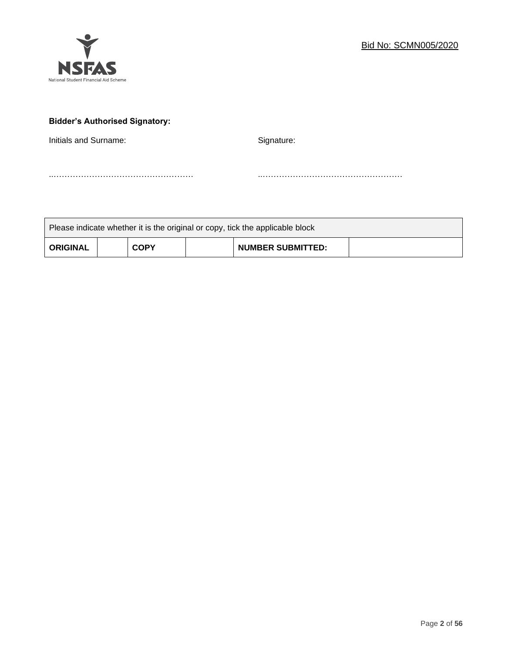

# **Bidder's Authorised Signatory:**

Initials and Surname: Signature: Signature:

..…………………………………………… ..……………………………………………

| Please indicate whether it is the original or copy, tick the applicable block |  |             |  |                          |  |
|-------------------------------------------------------------------------------|--|-------------|--|--------------------------|--|
| <b>ORIGINAL</b>                                                               |  | <b>COPY</b> |  | <b>NUMBER SUBMITTED:</b> |  |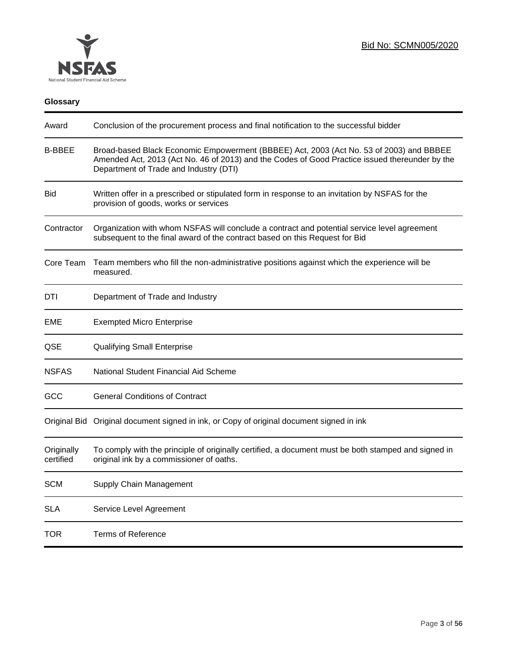

# **Glossary**

| Award                   | Conclusion of the procurement process and final notification to the successful bidder                                                                                                                                               |
|-------------------------|-------------------------------------------------------------------------------------------------------------------------------------------------------------------------------------------------------------------------------------|
| <b>B-BBEE</b>           | Broad-based Black Economic Empowerment (BBBEE) Act, 2003 (Act No. 53 of 2003) and BBBEE<br>Amended Act, 2013 (Act No. 46 of 2013) and the Codes of Good Practice issued thereunder by the<br>Department of Trade and Industry (DTI) |
| <b>Bid</b>              | Written offer in a prescribed or stipulated form in response to an invitation by NSFAS for the<br>provision of goods, works or services                                                                                             |
| Contractor              | Organization with whom NSFAS will conclude a contract and potential service level agreement<br>subsequent to the final award of the contract based on this Request for Bid                                                          |
| Core Team               | Team members who fill the non-administrative positions against which the experience will be<br>measured.                                                                                                                            |
| DTI                     | Department of Trade and Industry                                                                                                                                                                                                    |
| EME                     | <b>Exempted Micro Enterprise</b>                                                                                                                                                                                                    |
| QSE                     | <b>Qualifying Small Enterprise</b>                                                                                                                                                                                                  |
| <b>NSFAS</b>            | National Student Financial Aid Scheme                                                                                                                                                                                               |
| GCC                     | <b>General Conditions of Contract</b>                                                                                                                                                                                               |
|                         | Original Bid Original document signed in ink, or Copy of original document signed in ink                                                                                                                                            |
| Originally<br>certified | To comply with the principle of originally certified, a document must be both stamped and signed in<br>original ink by a commissioner of oaths.                                                                                     |
| <b>SCM</b>              | Supply Chain Management                                                                                                                                                                                                             |
| <b>SLA</b>              | Service Level Agreement                                                                                                                                                                                                             |
| <b>TOR</b>              | <b>Terms of Reference</b>                                                                                                                                                                                                           |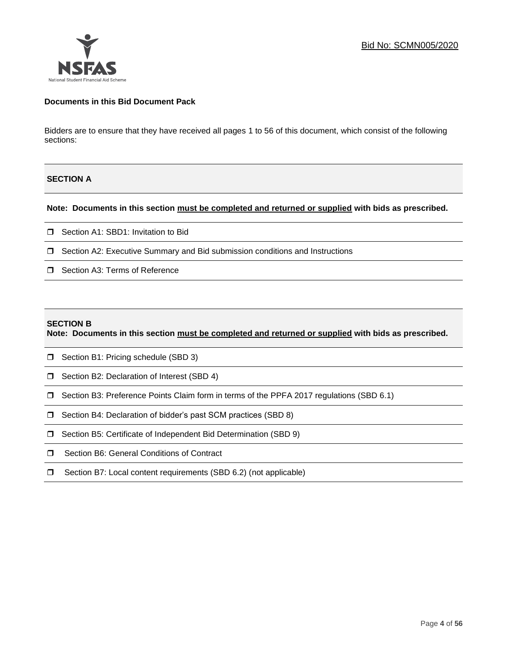

# **Documents in this Bid Document Pack**

Bidders are to ensure that they have received all pages 1 to 56 of this document, which consist of the following sections:

# **SECTION A**

### **Note: Documents in this section must be completed and returned or supplied with bids as prescribed.**

- □ Section A1: SBD1: Invitation to Bid
- □ Section A2: Executive Summary and Bid submission conditions and Instructions
- □ Section A3: Terms of Reference

#### **SECTION B**

**Note: Documents in this section must be completed and returned or supplied with bids as prescribed.**

- □ Section B1: Pricing schedule (SBD 3)
- □ Section B2: Declaration of Interest (SBD 4)
- Section B3: Preference Points Claim form in terms of the PPFA 2017 regulations (SBD 6.1)
- □ Section B4: Declaration of bidder's past SCM practices (SBD 8)
- □ Section B5: Certificate of Independent Bid Determination (SBD 9)
- **I** Section B6: General Conditions of Contract
- □ Section B7: Local content requirements (SBD 6.2) (not applicable)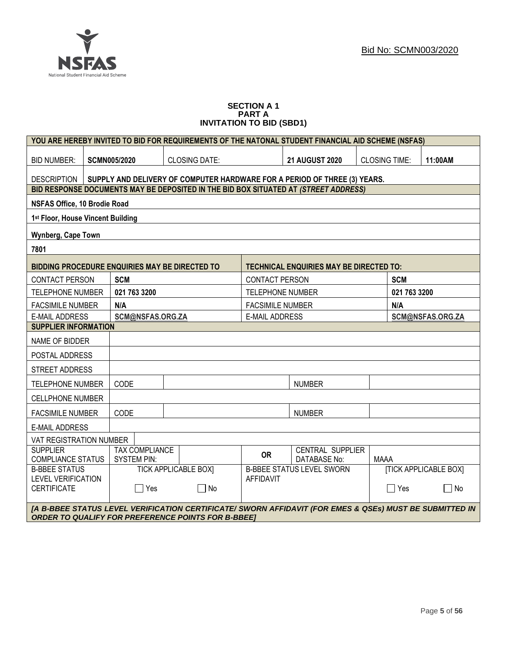#### **SECTION A 1 PART A INVITATION TO BID (SBD1)**

|                                                 |                                                                           |                       | YOU ARE HEREBY INVITED TO BID FOR REQUIREMENTS OF THE NATONAL STUDENT FINANCIAL AID SCHEME (NSFAS)                                                                   |                                  |               |                                                |      |              |                              |
|-------------------------------------------------|---------------------------------------------------------------------------|-----------------------|----------------------------------------------------------------------------------------------------------------------------------------------------------------------|----------------------------------|---------------|------------------------------------------------|------|--------------|------------------------------|
| <b>BID NUMBER:</b>                              | <b>SCMN005/2020</b><br><b>CLOSING DATE:</b>                               |                       |                                                                                                                                                                      | <b>21 AUGUST 2020</b>            |               | <b>CLOSING TIME:</b>                           |      | 11:00AM      |                              |
| DESCRIPTION                                     | SUPPLY AND DELIVERY OF COMPUTER HARDWARE FOR A PERIOD OF THREE (3) YEARS. |                       |                                                                                                                                                                      |                                  |               |                                                |      |              |                              |
|                                                 |                                                                           |                       | BID RESPONSE DOCUMENTS MAY BE DEPOSITED IN THE BID BOX SITUATED AT (STREET ADDRESS)                                                                                  |                                  |               |                                                |      |              |                              |
| <b>NSFAS Office, 10 Brodie Road</b>             |                                                                           |                       |                                                                                                                                                                      |                                  |               |                                                |      |              |                              |
| 1st Floor, House Vincent Building               |                                                                           |                       |                                                                                                                                                                      |                                  |               |                                                |      |              |                              |
| Wynberg, Cape Town                              |                                                                           |                       |                                                                                                                                                                      |                                  |               |                                                |      |              |                              |
| 7801                                            |                                                                           |                       |                                                                                                                                                                      |                                  |               |                                                |      |              |                              |
| BIDDING PROCEDURE ENQUIRIES MAY BE DIRECTED TO  |                                                                           |                       |                                                                                                                                                                      |                                  |               | <b>TECHNICAL ENQUIRIES MAY BE DIRECTED TO:</b> |      |              |                              |
| CONTACT PERSON                                  | <b>SCM</b>                                                                |                       |                                                                                                                                                                      | <b>CONTACT PERSON</b>            |               |                                                |      | <b>SCM</b>   |                              |
| <b>TELEPHONE NUMBER</b>                         | 021 763 3200                                                              |                       |                                                                                                                                                                      | <b>TELEPHONE NUMBER</b>          |               |                                                |      | 021 763 3200 |                              |
| <b>FACSIMILE NUMBER</b>                         | N/A                                                                       |                       |                                                                                                                                                                      | <b>FACSIMILE NUMBER</b>          |               |                                                |      | N/A          |                              |
| <b>E-MAIL ADDRESS</b>                           |                                                                           | SCM@NSFAS.ORG.ZA      |                                                                                                                                                                      | <b>E-MAIL ADDRESS</b>            |               |                                                |      |              | SCM@NSFAS.ORG.ZA             |
| <b>SUPPLIER INFORMATION</b>                     |                                                                           |                       |                                                                                                                                                                      |                                  |               |                                                |      |              |                              |
| NAME OF BIDDER                                  |                                                                           |                       |                                                                                                                                                                      |                                  |               |                                                |      |              |                              |
| POSTAL ADDRESS                                  |                                                                           |                       |                                                                                                                                                                      |                                  |               |                                                |      |              |                              |
| STREET ADDRESS                                  |                                                                           |                       |                                                                                                                                                                      |                                  |               |                                                |      |              |                              |
| <b>TELEPHONE NUMBER</b>                         | CODE                                                                      |                       |                                                                                                                                                                      |                                  | <b>NUMBER</b> |                                                |      |              |                              |
| <b>CELLPHONE NUMBER</b>                         |                                                                           |                       |                                                                                                                                                                      |                                  |               |                                                |      |              |                              |
| <b>FACSIMILE NUMBER</b>                         | CODE                                                                      |                       |                                                                                                                                                                      |                                  | <b>NUMBER</b> |                                                |      |              |                              |
| <b>E-MAIL ADDRESS</b>                           |                                                                           |                       |                                                                                                                                                                      |                                  |               |                                                |      |              |                              |
| VAT REGISTRATION NUMBER                         |                                                                           |                       |                                                                                                                                                                      |                                  |               |                                                |      |              |                              |
| <b>SUPPLIER</b><br><b>COMPLIANCE STATUS</b>     | <b>SYSTEM PIN:</b>                                                        | <b>TAX COMPLIANCE</b> |                                                                                                                                                                      | <b>OR</b>                        |               | <b>CENTRAL SUPPLIER</b><br><b>DATABASE No:</b> | MAAA |              |                              |
| <b>B-BBEE STATUS</b>                            |                                                                           |                       | <b>TICK APPLICABLE BOXI</b>                                                                                                                                          | <b>B-BBEE STATUS LEVEL SWORN</b> |               |                                                |      |              | <b>[TICK APPLICABLE BOX]</b> |
| <b>LEVEL VERIFICATION</b><br><b>CERTIFICATE</b> |                                                                           | $\Box$ Yes            | $\Box$ No                                                                                                                                                            | <b>AFFIDAVIT</b>                 |               |                                                |      | 7 Yes        | $\Box$ No                    |
|                                                 |                                                                           |                       |                                                                                                                                                                      |                                  |               |                                                |      |              |                              |
|                                                 |                                                                           |                       | [A B-BBEE STATUS LEVEL VERIFICATION CERTIFICATE/ SWORN AFFIDAVIT (FOR EMES & QSEs) MUST BE SUBMITTED IN<br><b>ORDER TO QUALIFY FOR PREFERENCE POINTS FOR B-BBEET</b> |                                  |               |                                                |      |              |                              |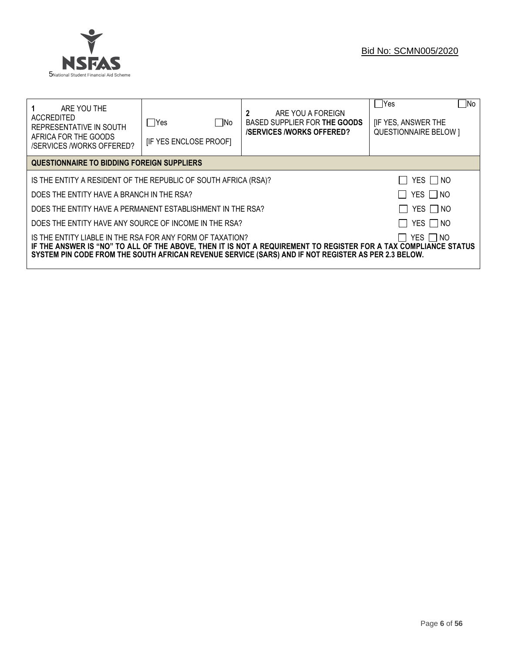

# Bid No: SCMN005/2020

| ARE YOU THE<br>ACCREDITED<br>REPRESENTATIVE IN SOUTH<br>AFRICA FOR THE GOODS<br><b>/SERVICES /WORKS OFFERED?</b> | $\Box$ No<br>lYes<br><b>IF YES ENCLOSE PROOFI</b> | 2<br>ARE YOU A FOREIGN<br>BASED SUPPLIER FOR THE GOODS<br><b>/SERVICES/WORKS OFFERED?</b>                                                                                                                              | $\neg$ No<br> Yes<br><b>IF YES, ANSWER THE</b><br><b>QUESTIONNAIRE BELOW 1</b> |
|------------------------------------------------------------------------------------------------------------------|---------------------------------------------------|------------------------------------------------------------------------------------------------------------------------------------------------------------------------------------------------------------------------|--------------------------------------------------------------------------------|
| QUESTIONNAIRE TO BIDDING FOREIGN SUPPLIERS                                                                       |                                                   |                                                                                                                                                                                                                        |                                                                                |
| YES $\Box$ NO<br>IS THE ENTITY A RESIDENT OF THE REPUBLIC OF SOUTH AFRICA (RSA)?                                 |                                                   |                                                                                                                                                                                                                        |                                                                                |
| YES $\Box$ NO<br>DOES THE ENTITY HAVE A BRANCH IN THE RSA?                                                       |                                                   |                                                                                                                                                                                                                        |                                                                                |
| YES $\Box$ NO<br>DOES THE ENTITY HAVE A PERMANENT ESTABLISHMENT IN THE RSA?                                      |                                                   |                                                                                                                                                                                                                        |                                                                                |
| DOES THE ENTITY HAVE ANY SOURCE OF INCOME IN THE RSA?                                                            |                                                   |                                                                                                                                                                                                                        | YES $\Box$ NO                                                                  |
| IS THE ENTITY LIABLE IN THE RSA FOR ANY FORM OF TAXATION?                                                        |                                                   | IF THE ANSWER IS "NO" TO ALL OF THE ABOVE, THEN IT IS NOT A REQUIREMENT TO REGISTER FOR A TAX COMPLIANCE STATUS<br>SYSTEM PIN CODE FROM THE SOUTH AFRICAN REVENUE SERVICE (SARS) AND IF NOT REGISTER AS PER 2.3 BELOW. | YES I INO                                                                      |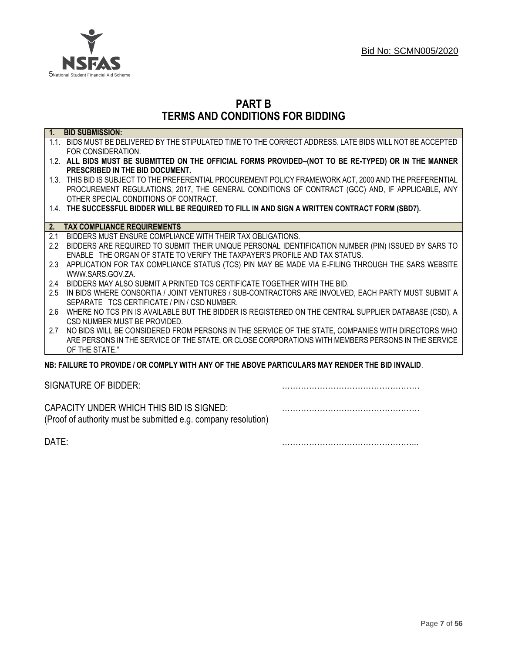

# **PART B TERMS AND CONDITIONS FOR BIDDING**

| $\overline{1}$ .  | <b>BID SUBMISSION:</b>                                                                                    |
|-------------------|-----------------------------------------------------------------------------------------------------------|
|                   | 1.1. BIDS MUST BE DELIVERED BY THE STIPULATED TIME TO THE CORRECT ADDRESS. LATE BIDS WILL NOT BE ACCEPTED |
|                   | FOR CONSIDERATION.                                                                                        |
|                   | 1.2. ALL BIDS MUST BE SUBMITTED ON THE OFFICIAL FORMS PROVIDED-(NOT TO BE RE-TYPED) OR IN THE MANNER      |
|                   | PRESCRIBED IN THE BID DOCUMENT.                                                                           |
|                   | 1.3. THIS BID IS SUBJECT TO THE PREFERENTIAL PROCUREMENT POLICY FRAMEWORK ACT, 2000 AND THE PREFERENTIAL  |
|                   | PROCUREMENT REGULATIONS, 2017, THE GENERAL CONDITIONS OF CONTRACT (GCC) AND, IF APPLICABLE, ANY           |
|                   | OTHER SPECIAL CONDITIONS OF CONTRACT.                                                                     |
|                   | 1.4. THE SUCCESSFUL BIDDER WILL BE REQUIRED TO FILL IN AND SIGN A WRITTEN CONTRACT FORM (SBD7).           |
|                   |                                                                                                           |
| 2.                | <b>TAX COMPLIANCE REQUIREMENTS</b>                                                                        |
| 2.1               | BIDDERS MUST ENSURE COMPLIANCE WITH THEIR TAX OBLIGATIONS.                                                |
| $2.2\overline{ }$ | BIDDERS ARE REQUIRED TO SUBMIT THEIR UNIQUE PERSONAL IDENTIFICATION NUMBER (PIN) ISSUED BY SARS TO        |
|                   | ENABLE THE ORGAN OF STATE TO VERIFY THE TAXPAYER'S PROFILE AND TAX STATUS.                                |
| 2.3               | APPLICATION FOR TAX COMPLIANCE STATUS (TCS) PIN MAY BE MADE VIA E-FILING THROUGH THE SARS WEBSITE         |
|                   | WWW.SARS.GOV.ZA.                                                                                          |
| 2.4               | BIDDERS MAY ALSO SUBMIT A PRINTED TCS CERTIFICATE TOGETHER WITH THE BID.                                  |
| 2.5               | IN BIDS WHERE CONSORTIA / JOINT VENTURES / SUB-CONTRACTORS ARE INVOLVED, EACH PARTY MUST SUBMIT A         |
|                   | SEPARATE TCS CERTIFICATE / PIN / CSD NUMBER.                                                              |
| 2.6               | WHERE NO TCS PIN IS AVAILABLE BUT THE BIDDER IS REGISTERED ON THE CENTRAL SUPPLIER DATABASE (CSD), A      |
|                   | CSD NUMBER MUST BE PROVIDED.                                                                              |
| 2.7               | NO BIDS WILL BE CONSIDERED FROM PERSONS IN THE SERVICE OF THE STATE, COMPANIES WITH DIRECTORS WHO         |
|                   | ARE PERSONS IN THE SERVICE OF THE STATE, OR CLOSE CORPORATIONS WITH MEMBERS PERSONS IN THE SERVICE        |
|                   | OF THE STATE."                                                                                            |
|                   | NB: FAILURE TO PROVIDE / OR COMPLY WITH ANY OF THE ABOVE PARTICULARS MAY RENDER THE BID INVALID.          |

SIGNATURE OF BIDDER: **2008** 

CAPACITY UNDER WHICH THIS BID IS SIGNED: ……………………………………………

(Proof of authority must be submitted e.g. company resolution)

DATE: …………………………………………...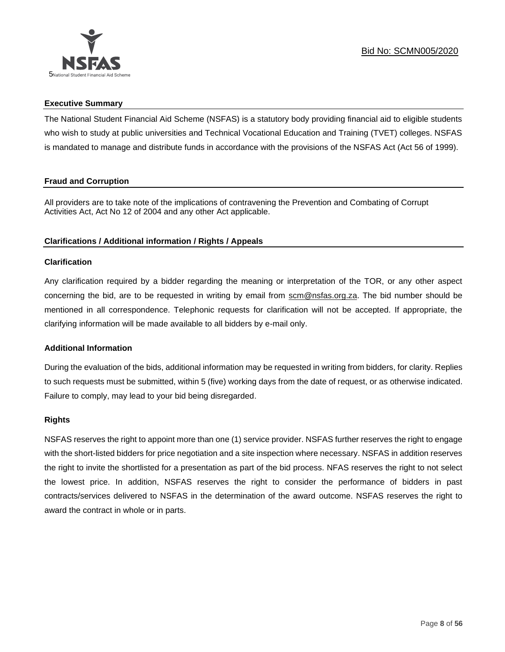

# **Executive Summary**

The National Student Financial Aid Scheme (NSFAS) is a statutory body providing financial aid to eligible students who wish to study at public universities and Technical Vocational Education and Training (TVET) colleges. NSFAS is mandated to manage and distribute funds in accordance with the provisions of the NSFAS Act (Act 56 of 1999).

# **Fraud and Corruption**

All providers are to take note of the implications of contravening the Prevention and Combating of Corrupt Activities Act, Act No 12 of 2004 and any other Act applicable.

# **Clarifications / Additional information / Rights / Appeals**

# **Clarification**

Any clarification required by a bidder regarding the meaning or interpretation of the TOR, or any other aspect concerning the bid, are to be requested in writing by email from scm@nsfas.org.za. The bid number should be mentioned in all correspondence. Telephonic requests for clarification will not be accepted. If appropriate, the clarifying information will be made available to all bidders by e-mail only.

# **Additional Information**

During the evaluation of the bids, additional information may be requested in writing from bidders, for clarity. Replies to such requests must be submitted, within 5 (five) working days from the date of request, or as otherwise indicated. Failure to comply, may lead to your bid being disregarded.

### **Rights**

NSFAS reserves the right to appoint more than one (1) service provider. NSFAS further reserves the right to engage with the short-listed bidders for price negotiation and a site inspection where necessary. NSFAS in addition reserves the right to invite the shortlisted for a presentation as part of the bid process. NFAS reserves the right to not select the lowest price. In addition, NSFAS reserves the right to consider the performance of bidders in past contracts/services delivered to NSFAS in the determination of the award outcome. NSFAS reserves the right to award the contract in whole or in parts.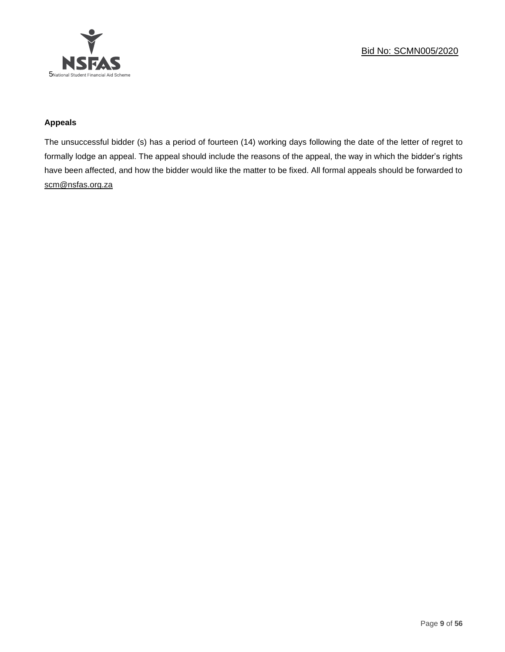

# **Appeals**

The unsuccessful bidder (s) has a period of fourteen (14) working days following the date of the letter of regret to formally lodge an appeal. The appeal should include the reasons of the appeal, the way in which the bidder's rights have been affected, and how the bidder would like the matter to be fixed. All formal appeals should be forwarded to [scm@nsfas.org.za](mailto:scm@nsfas.org.za)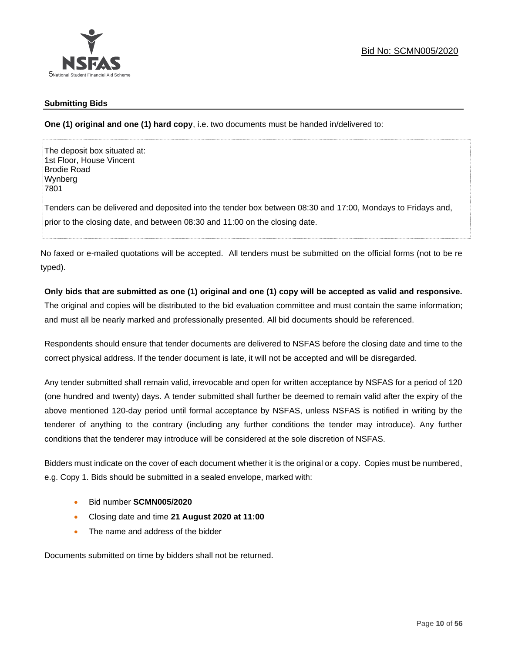

# **Submitting Bids**

**One (1) original and one (1) hard copy**, i.e. two documents must be handed in/delivered to:

The deposit box situated at: 1st Floor, House Vincent Brodie Road Wynberg 7801 Tenders can be delivered and deposited into the tender box between 08:30 and 17:00, Mondays to Fridays and, prior to the closing date, and between 08:30 and 11:00 on the closing date.

No faxed or e-mailed quotations will be accepted. All tenders must be submitted on the official forms (not to be re typed).

# **Only bids that are submitted as one (1) original and one (1) copy will be accepted as valid and responsive.**

The original and copies will be distributed to the bid evaluation committee and must contain the same information; and must all be nearly marked and professionally presented. All bid documents should be referenced.

Respondents should ensure that tender documents are delivered to NSFAS before the closing date and time to the correct physical address. If the tender document is late, it will not be accepted and will be disregarded.

Any tender submitted shall remain valid, irrevocable and open for written acceptance by NSFAS for a period of 120 (one hundred and twenty) days. A tender submitted shall further be deemed to remain valid after the expiry of the above mentioned 120-day period until formal acceptance by NSFAS, unless NSFAS is notified in writing by the tenderer of anything to the contrary (including any further conditions the tender may introduce). Any further conditions that the tenderer may introduce will be considered at the sole discretion of NSFAS.

Bidders must indicate on the cover of each document whether it is the original or a copy. Copies must be numbered, e.g. Copy 1. Bids should be submitted in a sealed envelope, marked with:

- Bid number **SCMN005/2020**
- Closing date and time **21 August 2020 at 11:00**
- The name and address of the bidder

Documents submitted on time by bidders shall not be returned.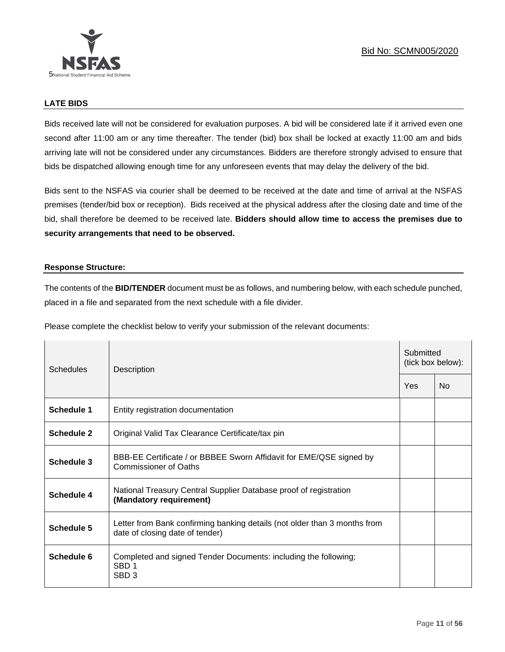# **LATE BIDS**

Bids received late will not be considered for evaluation purposes. A bid will be considered late if it arrived even one second after 11:00 am or any time thereafter. The tender (bid) box shall be locked at exactly 11:00 am and bids arriving late will not be considered under any circumstances. Bidders are therefore strongly advised to ensure that bids be dispatched allowing enough time for any unforeseen events that may delay the delivery of the bid.

Bids sent to the NSFAS via courier shall be deemed to be received at the date and time of arrival at the NSFAS premises (tender/bid box or reception). Bids received at the physical address after the closing date and time of the bid, shall therefore be deemed to be received late. **Bidders should allow time to access the premises due to security arrangements that need to be observed.**

# **Response Structure:**

The contents of the **BID/TENDER** document must be as follows, and numbering below, with each schedule punched, placed in a file and separated from the next schedule with a file divider.

Please complete the checklist below to verify your submission of the relevant documents:

| Schedules         | Description                                                                                                  |     | Submitted<br>(tick box below): |  |
|-------------------|--------------------------------------------------------------------------------------------------------------|-----|--------------------------------|--|
|                   |                                                                                                              | Yes | <b>No</b>                      |  |
| <b>Schedule 1</b> | Entity registration documentation                                                                            |     |                                |  |
| Schedule 2        | Original Valid Tax Clearance Certificate/tax pin                                                             |     |                                |  |
| <b>Schedule 3</b> | BBB-EE Certificate / or BBBEE Sworn Affidavit for EME/QSE signed by<br>Commissioner of Oaths                 |     |                                |  |
| <b>Schedule 4</b> | National Treasury Central Supplier Database proof of registration<br>(Mandatory requirement)                 |     |                                |  |
| Schedule 5        | Letter from Bank confirming banking details (not older than 3 months from<br>date of closing date of tender) |     |                                |  |
| Schedule 6        | Completed and signed Tender Documents: including the following;<br>SBD <sub>1</sub><br>SBD <sub>3</sub>      |     |                                |  |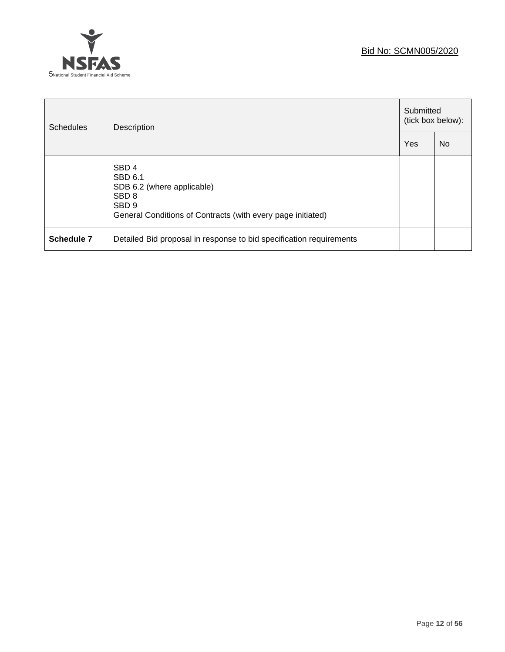# Bid No: SCMN005/2020



| <b>Schedules</b> | Description                                                                                                                                                             |     | Submitted<br>(tick box below): |  |
|------------------|-------------------------------------------------------------------------------------------------------------------------------------------------------------------------|-----|--------------------------------|--|
|                  |                                                                                                                                                                         | Yes | <b>No</b>                      |  |
|                  | SBD <sub>4</sub><br><b>SBD 6.1</b><br>SDB 6.2 (where applicable)<br>SBD <sub>8</sub><br>SBD <sub>9</sub><br>General Conditions of Contracts (with every page initiated) |     |                                |  |
| Schedule 7       | Detailed Bid proposal in response to bid specification requirements                                                                                                     |     |                                |  |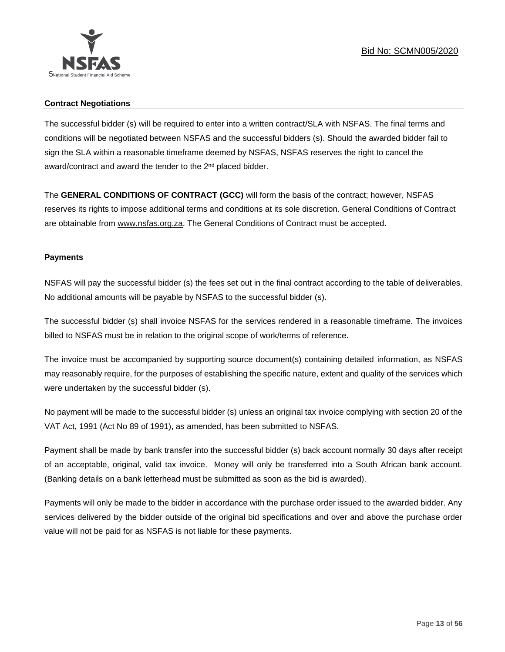

# **Contract Negotiations**

The successful bidder (s) will be required to enter into a written contract/SLA with NSFAS. The final terms and conditions will be negotiated between NSFAS and the successful bidders (s). Should the awarded bidder fail to sign the SLA within a reasonable timeframe deemed by NSFAS, NSFAS reserves the right to cancel the award/contract and award the tender to the 2<sup>nd</sup> placed bidder.

The **GENERAL CONDITIONS OF CONTRACT (GCC)** will form the basis of the contract; however, NSFAS reserves its rights to impose additional terms and conditions at its sole discretion. General Conditions of Contract are obtainable from [www.nsfas.org.za.](http://www.nsfas.org.za/) The General Conditions of Contract must be accepted.

# **Payments**

NSFAS will pay the successful bidder (s) the fees set out in the final contract according to the table of deliverables. No additional amounts will be payable by NSFAS to the successful bidder (s).

The successful bidder (s) shall invoice NSFAS for the services rendered in a reasonable timeframe. The invoices billed to NSFAS must be in relation to the original scope of work/terms of reference.

The invoice must be accompanied by supporting source document(s) containing detailed information, as NSFAS may reasonably require, for the purposes of establishing the specific nature, extent and quality of the services which were undertaken by the successful bidder (s).

No payment will be made to the successful bidder (s) unless an original tax invoice complying with section 20 of the VAT Act, 1991 (Act No 89 of 1991), as amended, has been submitted to NSFAS.

Payment shall be made by bank transfer into the successful bidder (s) back account normally 30 days after receipt of an acceptable, original, valid tax invoice. Money will only be transferred into a South African bank account. (Banking details on a bank letterhead must be submitted as soon as the bid is awarded).

Payments will only be made to the bidder in accordance with the purchase order issued to the awarded bidder. Any services delivered by the bidder outside of the original bid specifications and over and above the purchase order value will not be paid for as NSFAS is not liable for these payments.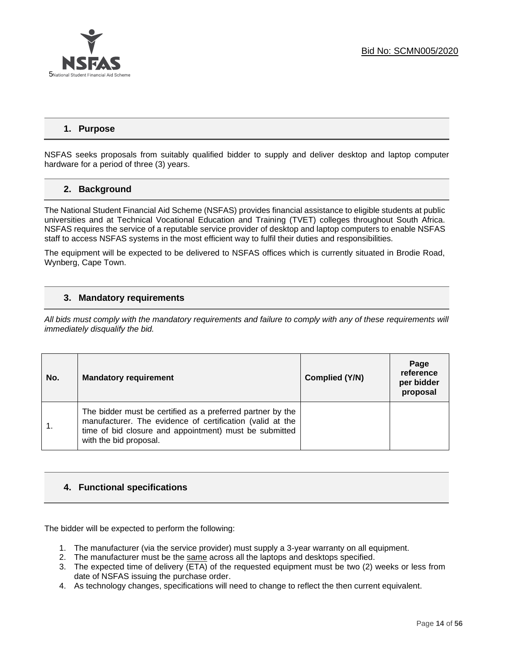

# **1. Purpose**

NSFAS seeks proposals from suitably qualified bidder to supply and deliver desktop and laptop computer hardware for a period of three (3) years.

# **2. Background**

The National Student Financial Aid Scheme (NSFAS) provides financial assistance to eligible students at public universities and at Technical Vocational Education and Training (TVET) colleges throughout South Africa. NSFAS requires the service of a reputable service provider of desktop and laptop computers to enable NSFAS staff to access NSFAS systems in the most efficient way to fulfil their duties and responsibilities.

The equipment will be expected to be delivered to NSFAS offices which is currently situated in Brodie Road, Wynberg, Cape Town.

# **3. Mandatory requirements**

*All bids must comply with the mandatory requirements and failure to comply with any of these requirements will immediately disqualify the bid.*

| No. | <b>Mandatory requirement</b>                                                                                                                                                                                | Complied (Y/N) | Page<br>reference<br>per bidder<br>proposal |
|-----|-------------------------------------------------------------------------------------------------------------------------------------------------------------------------------------------------------------|----------------|---------------------------------------------|
|     | The bidder must be certified as a preferred partner by the<br>manufacturer. The evidence of certification (valid at the<br>time of bid closure and appointment) must be submitted<br>with the bid proposal. |                |                                             |

# **4. Functional specifications**

The bidder will be expected to perform the following:

- 1. The manufacturer (via the service provider) must supply a 3-year warranty on all equipment.
- 2. The manufacturer must be the same across all the laptops and desktops specified.
- 3. The expected time of delivery (ETA) of the requested equipment must be two (2) weeks or less from date of NSFAS issuing the purchase order.
- 4. As technology changes, specifications will need to change to reflect the then current equivalent.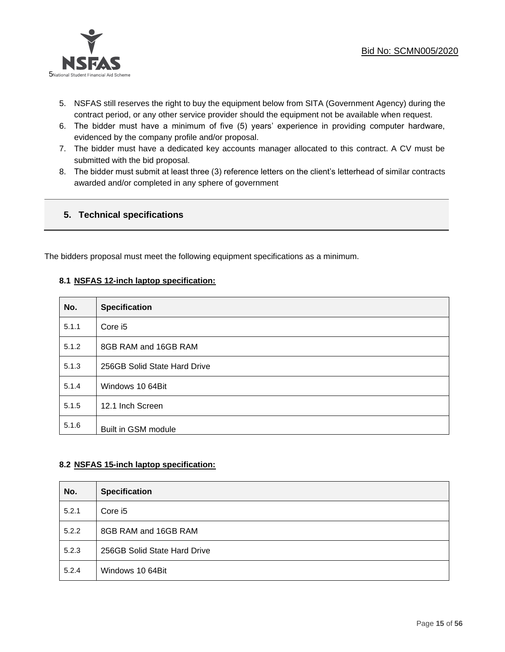

- 5. NSFAS still reserves the right to buy the equipment below from SITA (Government Agency) during the contract period, or any other service provider should the equipment not be available when request.
- 6. The bidder must have a minimum of five (5) years' experience in providing computer hardware, evidenced by the company profile and/or proposal.
- 7. The bidder must have a dedicated key accounts manager allocated to this contract. A CV must be submitted with the bid proposal.
- 8. The bidder must submit at least three (3) reference letters on the client's letterhead of similar contracts awarded and/or completed in any sphere of government

# **5. Technical specifications**

The bidders proposal must meet the following equipment specifications as a minimum.

# **8.1 NSFAS 12-inch laptop specification:**

| No.   | <b>Specification</b>         |
|-------|------------------------------|
| 5.1.1 | Core i5                      |
| 5.1.2 | 8GB RAM and 16GB RAM         |
| 5.1.3 | 256GB Solid State Hard Drive |
| 5.1.4 | Windows 10 64Bit             |
| 5.1.5 | 12.1 Inch Screen             |
| 5.1.6 | Built in GSM module          |

# **8.2 NSFAS 15-inch laptop specification:**

| No.   | <b>Specification</b>         |
|-------|------------------------------|
| 5.2.1 | Core i5                      |
| 5.2.2 | 8GB RAM and 16GB RAM         |
| 5.2.3 | 256GB Solid State Hard Drive |
| 5.2.4 | Windows 10 64Bit             |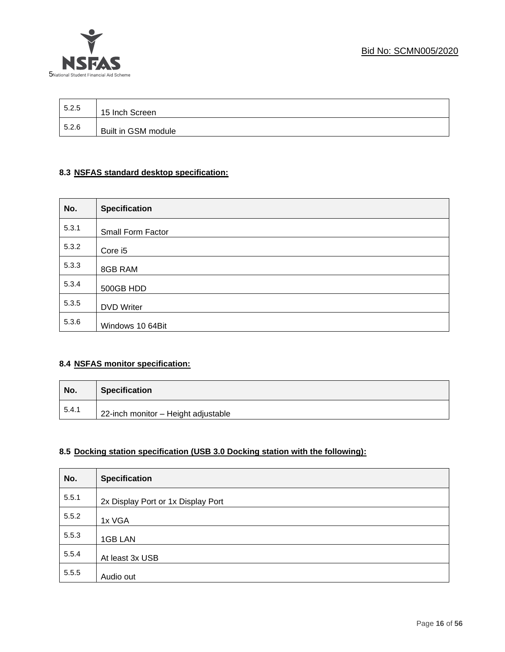

| 5.2.5 | 15 Inch Screen      |
|-------|---------------------|
| 5.2.6 | Built in GSM module |

# **8.3 NSFAS standard desktop specification:**

| No.   | <b>Specification</b> |
|-------|----------------------|
| 5.3.1 | Small Form Factor    |
| 5.3.2 | Core i5              |
| 5.3.3 | 8GB RAM              |
| 5.3.4 | 500GB HDD            |
| 5.3.5 | <b>DVD Writer</b>    |
| 5.3.6 | Windows 10 64Bit     |

# **8.4 NSFAS monitor specification:**

| No.   | <b>Specification</b>                |
|-------|-------------------------------------|
| 5.4.1 | 22-inch monitor - Height adjustable |

# **8.5 Docking station specification (USB 3.0 Docking station with the following):**

| No.   | <b>Specification</b>               |
|-------|------------------------------------|
| 5.5.1 | 2x Display Port or 1x Display Port |
| 5.5.2 | 1x VGA                             |
| 5.5.3 | 1GB LAN                            |
| 5.5.4 | At least 3x USB                    |
| 5.5.5 | Audio out                          |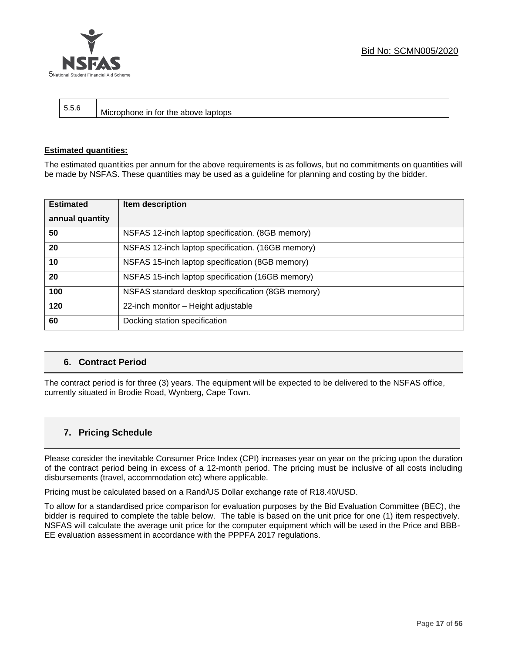



┱

| 5.5.6<br>  Microphone in for the above laptops |  |
|------------------------------------------------|--|
|------------------------------------------------|--|

### **Estimated quantities:**

The estimated quantities per annum for the above requirements is as follows, but no commitments on quantities will be made by NSFAS. These quantities may be used as a guideline for planning and costing by the bidder.

| <b>Estimated</b> | Item description                                  |
|------------------|---------------------------------------------------|
| annual quantity  |                                                   |
| 50               | NSFAS 12-inch laptop specification. (8GB memory)  |
| 20               | NSFAS 12-inch laptop specification. (16GB memory) |
| 10               | NSFAS 15-inch laptop specification (8GB memory)   |
| 20               | NSFAS 15-inch laptop specification (16GB memory)  |
| 100              | NSFAS standard desktop specification (8GB memory) |
| 120              | 22-inch monitor - Height adjustable               |
| 60               | Docking station specification                     |

# **6. Contract Period**

The contract period is for three (3) years. The equipment will be expected to be delivered to the NSFAS office, currently situated in Brodie Road, Wynberg, Cape Town.

# **7. Pricing Schedule**

Please consider the inevitable Consumer Price Index (CPI) increases year on year on the pricing upon the duration of the contract period being in excess of a 12-month period. The pricing must be inclusive of all costs including disbursements (travel, accommodation etc) where applicable.

Pricing must be calculated based on a Rand/US Dollar exchange rate of R18.40/USD.

To allow for a standardised price comparison for evaluation purposes by the Bid Evaluation Committee (BEC), the bidder is required to complete the table below. The table is based on the unit price for one (1) item respectively. NSFAS will calculate the average unit price for the computer equipment which will be used in the Price and BBB-EE evaluation assessment in accordance with the PPPFA 2017 regulations.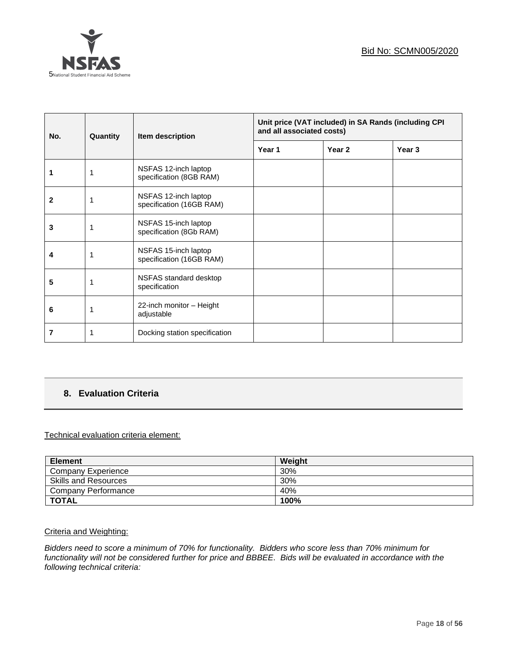

| No. | Quantity | Item description                                 | Unit price (VAT included) in SA Rands (including CPI<br>and all associated costs) |        |        |
|-----|----------|--------------------------------------------------|-----------------------------------------------------------------------------------|--------|--------|
|     |          |                                                  | Year 1                                                                            | Year 2 | Year 3 |
|     |          | NSFAS 12-inch laptop<br>specification (8GB RAM)  |                                                                                   |        |        |
| 2   |          | NSFAS 12-inch laptop<br>specification (16GB RAM) |                                                                                   |        |        |
| 3   |          | NSFAS 15-inch laptop<br>specification (8Gb RAM)  |                                                                                   |        |        |
| 4   | 1        | NSFAS 15-inch laptop<br>specification (16GB RAM) |                                                                                   |        |        |
| 5   |          | NSFAS standard desktop<br>specification          |                                                                                   |        |        |
| 6   |          | 22-inch monitor - Height<br>adjustable           |                                                                                   |        |        |
| 7   |          | Docking station specification                    |                                                                                   |        |        |

# **8. Evaluation Criteria**

# Technical evaluation criteria element:

| <b>Element</b>              | Weight |
|-----------------------------|--------|
| <b>Company Experience</b>   | 30%    |
| <b>Skills and Resources</b> | 30%    |
| <b>Company Performance</b>  | 40%    |
| <b>TOTAL</b>                | 100%   |

Criteria and Weighting:

*Bidders need to score a minimum of 70% for functionality. Bidders who score less than 70% minimum for functionality will not be considered further for price and BBBEE. Bids will be evaluated in accordance with the following technical criteria:*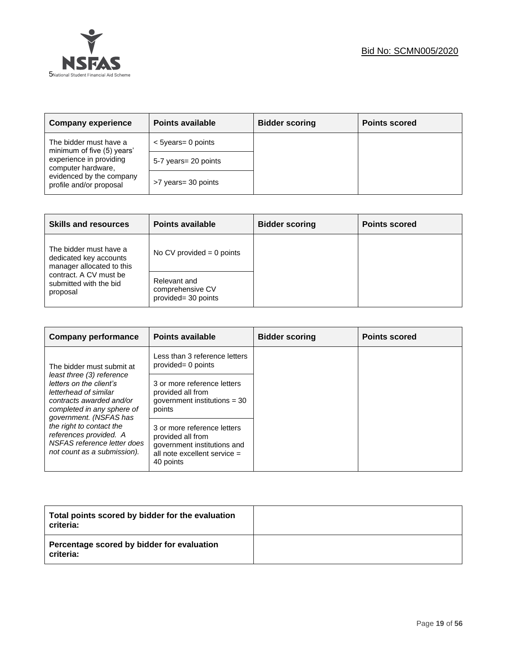



| <b>Company experience</b>                            | <b>Points available</b> | <b>Bidder scoring</b> | <b>Points scored</b> |
|------------------------------------------------------|-------------------------|-----------------------|----------------------|
| The bidder must have a<br>minimum of five (5) years' | $<$ 5years= 0 points    |                       |                      |
| experience in providing<br>computer hardware,        | 5-7 years = 20 points   |                       |                      |
| evidenced by the company<br>profile and/or proposal  | >7 years= 30 points     |                       |                      |

| <b>Skills and resources</b>                                                   | <b>Points available</b>                                 | <b>Bidder scoring</b> | <b>Points scored</b> |
|-------------------------------------------------------------------------------|---------------------------------------------------------|-----------------------|----------------------|
| The bidder must have a<br>dedicated key accounts<br>manager allocated to this | No CV provided $= 0$ points                             |                       |                      |
| contract. A CV must be<br>submitted with the bid<br>proposal                  | Relevant and<br>comprehensive CV<br>provided= 30 points |                       |                      |

| <b>Company performance</b>                                                                                                                                        | <b>Points available</b>                                                                                                        | <b>Bidder scoring</b> | <b>Points scored</b> |
|-------------------------------------------------------------------------------------------------------------------------------------------------------------------|--------------------------------------------------------------------------------------------------------------------------------|-----------------------|----------------------|
| The bidder must submit at                                                                                                                                         | Less than 3 reference letters<br>provided= 0 points                                                                            |                       |                      |
| least three (3) reference<br>letters on the client's<br>letterhead of similar<br>contracts awarded and/or<br>completed in any sphere of<br>government. (NSFAS has | 3 or more reference letters<br>provided all from<br>government institutions $=$ 30<br>points                                   |                       |                      |
| the right to contact the<br>references provided. A<br>NSFAS reference letter does<br>not count as a submission).                                                  | 3 or more reference letters<br>provided all from<br>government institutions and<br>all note excellent service $=$<br>40 points |                       |                      |

| Total points scored by bidder for the evaluation<br>criteria: |  |
|---------------------------------------------------------------|--|
| Percentage scored by bidder for evaluation<br>criteria:       |  |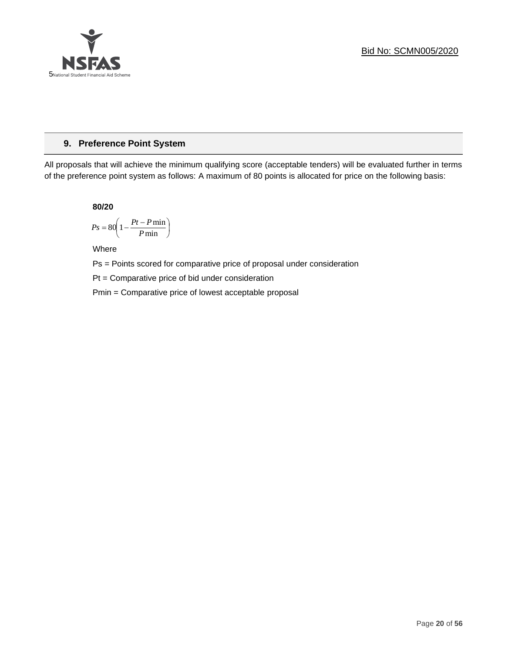

# **9. Preference Point System**

All proposals that will achieve the minimum qualifying score (acceptable tenders) will be evaluated further in terms of the preference point system as follows: A maximum of 80 points is allocated for price on the following basis:

**80/20**

$$
Ps = 80 \left( 1 - \frac{Pt - P \min}{P \min} \right)
$$

Where

Ps = Points scored for comparative price of proposal under consideration

Pt = Comparative price of bid under consideration

Pmin = Comparative price of lowest acceptable proposal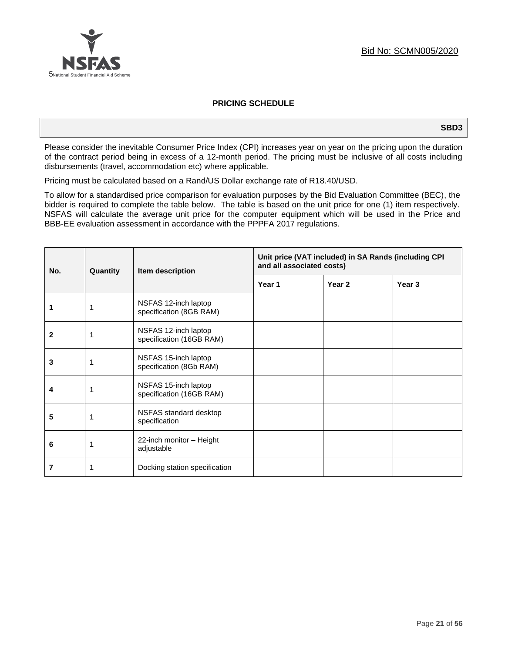

# **PRICING SCHEDULE**

#### **SBD3**

Please consider the inevitable Consumer Price Index (CPI) increases year on year on the pricing upon the duration of the contract period being in excess of a 12-month period. The pricing must be inclusive of all costs including disbursements (travel, accommodation etc) where applicable.

Pricing must be calculated based on a Rand/US Dollar exchange rate of R18.40/USD.

To allow for a standardised price comparison for evaluation purposes by the Bid Evaluation Committee (BEC), the bidder is required to complete the table below. The table is based on the unit price for one (1) item respectively. NSFAS will calculate the average unit price for the computer equipment which will be used in the Price and BBB-EE evaluation assessment in accordance with the PPPFA 2017 regulations.

| No. | Quantity | Item description                                 | Unit price (VAT included) in SA Rands (including CPI<br>and all associated costs) |                   |                   |
|-----|----------|--------------------------------------------------|-----------------------------------------------------------------------------------|-------------------|-------------------|
|     |          |                                                  | Year 1                                                                            | Year <sub>2</sub> | Year <sub>3</sub> |
|     | 1        | NSFAS 12-inch laptop<br>specification (8GB RAM)  |                                                                                   |                   |                   |
| 2   | 1        | NSFAS 12-inch laptop<br>specification (16GB RAM) |                                                                                   |                   |                   |
| 3   | 1        | NSFAS 15-inch laptop<br>specification (8Gb RAM)  |                                                                                   |                   |                   |
| 4   | 1        | NSFAS 15-inch laptop<br>specification (16GB RAM) |                                                                                   |                   |                   |
| 5   | 1        | NSFAS standard desktop<br>specification          |                                                                                   |                   |                   |
| 6   | 1        | 22-inch monitor - Height<br>adjustable           |                                                                                   |                   |                   |
| 7   | 1        | Docking station specification                    |                                                                                   |                   |                   |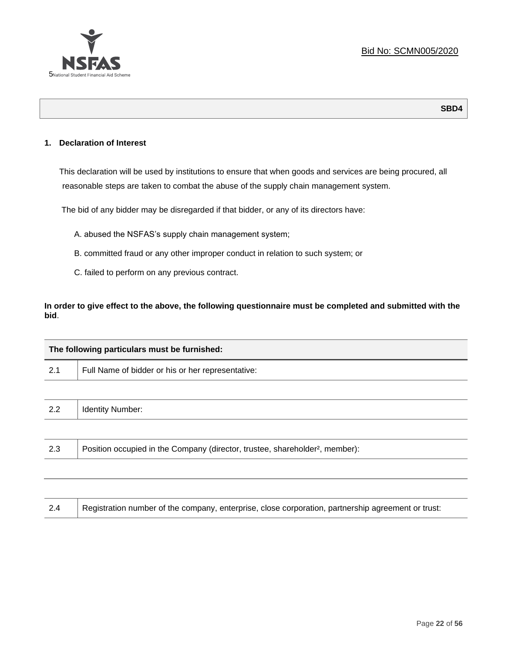

# **1. Declaration of Interest**

This declaration will be used by institutions to ensure that when goods and services are being procured, all reasonable steps are taken to combat the abuse of the supply chain management system.

The bid of any bidder may be disregarded if that bidder, or any of its directors have:

- A. abused the NSFAS's supply chain management system;
- B. committed fraud or any other improper conduct in relation to such system; or
- C. failed to perform on any previous contract.

**In order to give effect to the above, the following questionnaire must be completed and submitted with the bid**.

| The following particulars must be furnished: |                                                                                          |  |  |
|----------------------------------------------|------------------------------------------------------------------------------------------|--|--|
| 2.1                                          | Full Name of bidder or his or her representative:                                        |  |  |
|                                              |                                                                                          |  |  |
| 2.2                                          | <b>Identity Number:</b>                                                                  |  |  |
|                                              |                                                                                          |  |  |
| 2.3                                          | Position occupied in the Company (director, trustee, shareholder <sup>2</sup> , member): |  |  |
|                                              |                                                                                          |  |  |
|                                              |                                                                                          |  |  |

| 2.4 | Registration number of the company, enterprise, close corporation, partnership agreement or trust: |
|-----|----------------------------------------------------------------------------------------------------|
|-----|----------------------------------------------------------------------------------------------------|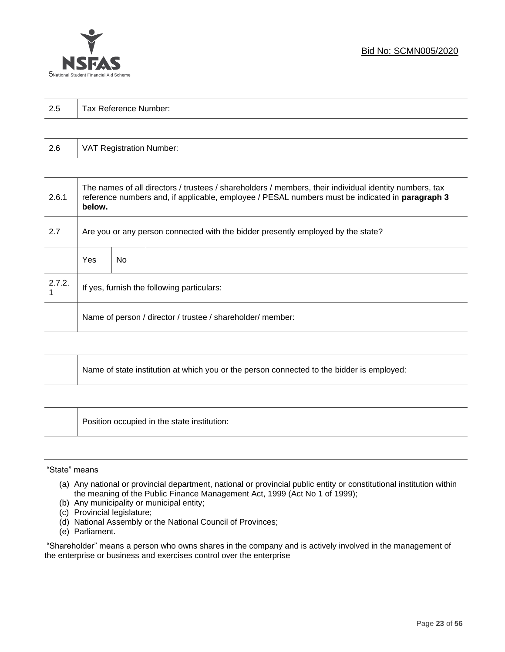

| 2.5 | Tax Reference Number: |
|-----|-----------------------|
|     |                       |

| 2.6<br>VAT Registration Number: |
|---------------------------------|
|---------------------------------|

| 2.6.1  | The names of all directors / trustees / shareholders / members, their individual identity numbers, tax<br>reference numbers and, if applicable, employee / PESAL numbers must be indicated in paragraph 3<br>below. |     |  |  |  |
|--------|---------------------------------------------------------------------------------------------------------------------------------------------------------------------------------------------------------------------|-----|--|--|--|
| 2.7    | Are you or any person connected with the bidder presently employed by the state?                                                                                                                                    |     |  |  |  |
|        | Yes                                                                                                                                                                                                                 | No. |  |  |  |
| 2.7.2. | If yes, furnish the following particulars:                                                                                                                                                                          |     |  |  |  |
|        | Name of person / director / trustee / shareholder/ member:                                                                                                                                                          |     |  |  |  |

| Name of state institution at which you or the person connected to the bidder is employed: |
|-------------------------------------------------------------------------------------------|
|                                                                                           |

Position occupied in the state institution:

### "State" means

- (a) Any national or provincial department, national or provincial public entity or constitutional institution within the meaning of the Public Finance Management Act, 1999 (Act No 1 of 1999);
- (b) Any municipality or municipal entity;
- (c) Provincial legislature;
- (d) National Assembly or the National Council of Provinces;
- (e) Parliament.

"Shareholder" means a person who owns shares in the company and is actively involved in the management of the enterprise or business and exercises control over the enterprise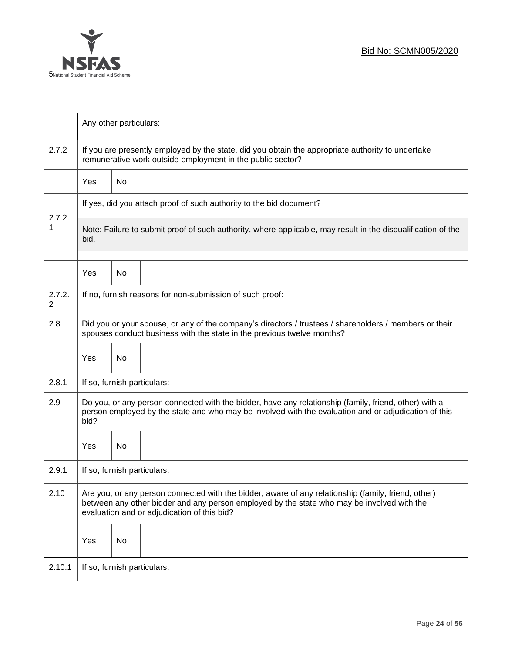

|             | Any other particulars:                                                                                                                                                                                                                           |    |                                                                     |  |  |
|-------------|--------------------------------------------------------------------------------------------------------------------------------------------------------------------------------------------------------------------------------------------------|----|---------------------------------------------------------------------|--|--|
| 2.7.2       | If you are presently employed by the state, did you obtain the appropriate authority to undertake<br>remunerative work outside employment in the public sector?                                                                                  |    |                                                                     |  |  |
|             | Yes                                                                                                                                                                                                                                              | No |                                                                     |  |  |
|             |                                                                                                                                                                                                                                                  |    | If yes, did you attach proof of such authority to the bid document? |  |  |
| 2.7.2.<br>1 | Note: Failure to submit proof of such authority, where applicable, may result in the disqualification of the<br>bid.                                                                                                                             |    |                                                                     |  |  |
|             | Yes                                                                                                                                                                                                                                              | No |                                                                     |  |  |
| 2.7.2.<br>2 |                                                                                                                                                                                                                                                  |    | If no, furnish reasons for non-submission of such proof:            |  |  |
| 2.8         | Did you or your spouse, or any of the company's directors / trustees / shareholders / members or their<br>spouses conduct business with the state in the previous twelve months?                                                                 |    |                                                                     |  |  |
|             | Yes                                                                                                                                                                                                                                              | No |                                                                     |  |  |
| 2.8.1       | If so, furnish particulars:                                                                                                                                                                                                                      |    |                                                                     |  |  |
| 2.9         | Do you, or any person connected with the bidder, have any relationship (family, friend, other) with a<br>person employed by the state and who may be involved with the evaluation and or adjudication of this<br>bid?                            |    |                                                                     |  |  |
|             | Yes                                                                                                                                                                                                                                              | No |                                                                     |  |  |
| 2.9.1       | If so, furnish particulars:                                                                                                                                                                                                                      |    |                                                                     |  |  |
| 2.10        | Are you, or any person connected with the bidder, aware of any relationship (family, friend, other)<br>between any other bidder and any person employed by the state who may be involved with the<br>evaluation and or adjudication of this bid? |    |                                                                     |  |  |
|             | Yes                                                                                                                                                                                                                                              | No |                                                                     |  |  |
| 2.10.1      | If so, furnish particulars:                                                                                                                                                                                                                      |    |                                                                     |  |  |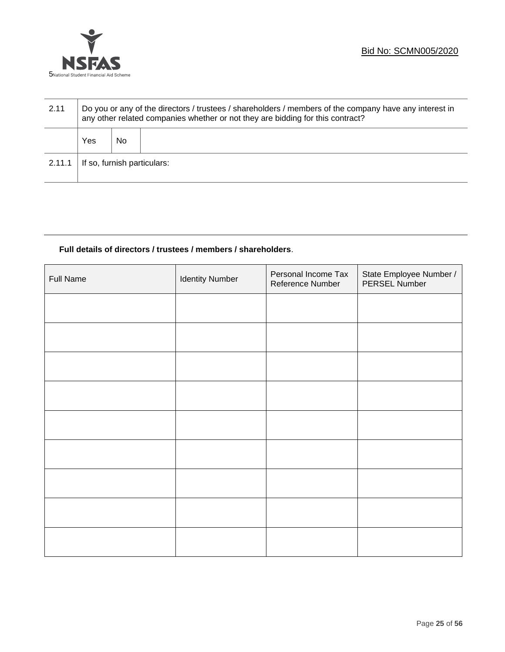



| 2.11   | Do you or any of the directors / trustees / shareholders / members of the company have any interest in<br>any other related companies whether or not they are bidding for this contract? |    |  |  |  |
|--------|------------------------------------------------------------------------------------------------------------------------------------------------------------------------------------------|----|--|--|--|
|        | Yes                                                                                                                                                                                      | No |  |  |  |
| 2.11.1 | If so, furnish particulars:                                                                                                                                                              |    |  |  |  |

# **Full details of directors / trustees / members / shareholders**.

| Full Name | <b>Identity Number</b> | Personal Income Tax<br>Reference Number | State Employee Number /<br>PERSEL Number |
|-----------|------------------------|-----------------------------------------|------------------------------------------|
|           |                        |                                         |                                          |
|           |                        |                                         |                                          |
|           |                        |                                         |                                          |
|           |                        |                                         |                                          |
|           |                        |                                         |                                          |
|           |                        |                                         |                                          |
|           |                        |                                         |                                          |
|           |                        |                                         |                                          |
|           |                        |                                         |                                          |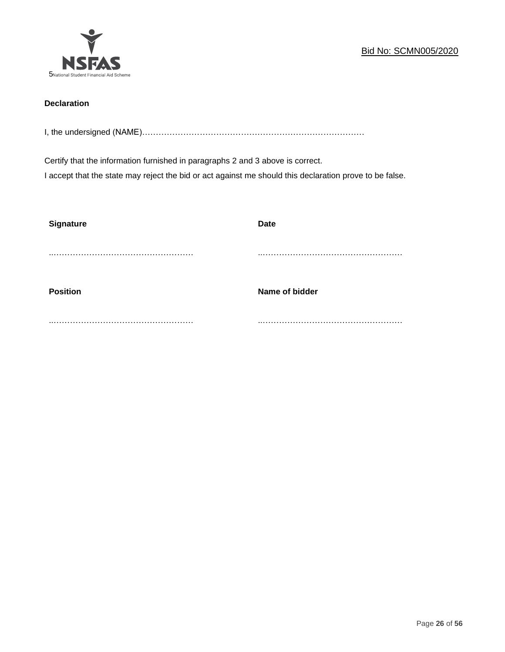

# **Declaration**

I, the undersigned (NAME)………………………………………………………………………

Certify that the information furnished in paragraphs 2 and 3 above is correct.

I accept that the state may reject the bid or act against me should this declaration prove to be false.

| <b>Signature</b> | <b>Date</b>    |
|------------------|----------------|
|                  |                |
| <b>Position</b>  | Name of bidder |
|                  |                |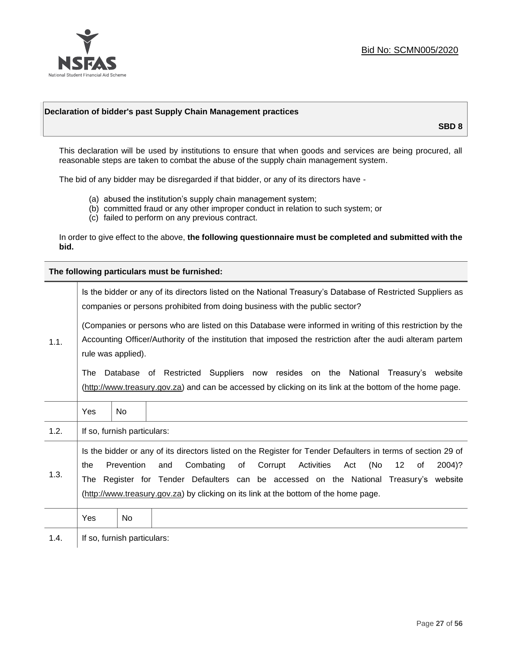

# **Declaration of bidder's past Supply Chain Management practices**

**SBD 8**

This declaration will be used by institutions to ensure that when goods and services are being procured, all reasonable steps are taken to combat the abuse of the supply chain management system.

The bid of any bidder may be disregarded if that bidder, or any of its directors have -

- (a) abused the institution's supply chain management system;
- (b) committed fraud or any other improper conduct in relation to such system; or
- (c) failed to perform on any previous contract.

In order to give effect to the above, **the following questionnaire must be completed and submitted with the bid.**

**The following particulars must be furnished:**

| 1.1. | Is the bidder or any of its directors listed on the National Treasury's Database of Restricted Suppliers as<br>companies or persons prohibited from doing business with the public sector?                                                                                                                                                                                                                |                             |                                                                                                                                                                                                |  |  |
|------|-----------------------------------------------------------------------------------------------------------------------------------------------------------------------------------------------------------------------------------------------------------------------------------------------------------------------------------------------------------------------------------------------------------|-----------------------------|------------------------------------------------------------------------------------------------------------------------------------------------------------------------------------------------|--|--|
|      | (Companies or persons who are listed on this Database were informed in writing of this restriction by the<br>Accounting Officer/Authority of the institution that imposed the restriction after the audi alteram partem<br>rule was applied).                                                                                                                                                             |                             |                                                                                                                                                                                                |  |  |
|      | The                                                                                                                                                                                                                                                                                                                                                                                                       |                             | Database of Restricted Suppliers now resides on the National<br>Treasury's website<br>(http://www.treasury.gov.za) and can be accessed by clicking on its link at the bottom of the home page. |  |  |
|      | Yes                                                                                                                                                                                                                                                                                                                                                                                                       | <b>No</b>                   |                                                                                                                                                                                                |  |  |
| 1.2. |                                                                                                                                                                                                                                                                                                                                                                                                           | If so, furnish particulars: |                                                                                                                                                                                                |  |  |
| 1.3. | Is the bidder or any of its directors listed on the Register for Tender Defaulters in terms of section 29 of<br>Prevention<br>Activities<br>(No<br>Combating<br>of<br>Corrupt<br>12<br>2004)?<br>the<br>and<br>Act<br>of<br>The Register for Tender Defaulters can be accessed on the National Treasury's website<br>(http://www.treasury.gov.za) by clicking on its link at the bottom of the home page. |                             |                                                                                                                                                                                                |  |  |
|      | Yes                                                                                                                                                                                                                                                                                                                                                                                                       | No                          |                                                                                                                                                                                                |  |  |
| 1.4. |                                                                                                                                                                                                                                                                                                                                                                                                           | If so, furnish particulars: |                                                                                                                                                                                                |  |  |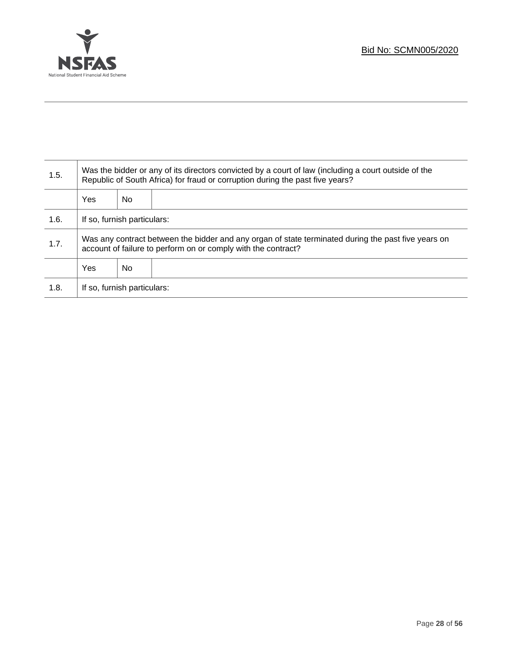

Τ

| 1.5. | Was the bidder or any of its directors convicted by a court of law (including a court outside of the<br>Republic of South Africa) for fraud or corruption during the past five years? |    |  |  |
|------|---------------------------------------------------------------------------------------------------------------------------------------------------------------------------------------|----|--|--|
|      | Yes                                                                                                                                                                                   | No |  |  |
| 1.6. | If so, furnish particulars:                                                                                                                                                           |    |  |  |
| 1.7. | Was any contract between the bidder and any organ of state terminated during the past five years on<br>account of failure to perform on or comply with the contract?                  |    |  |  |
|      | Yes                                                                                                                                                                                   | No |  |  |
| 1.8. | If so, furnish particulars:                                                                                                                                                           |    |  |  |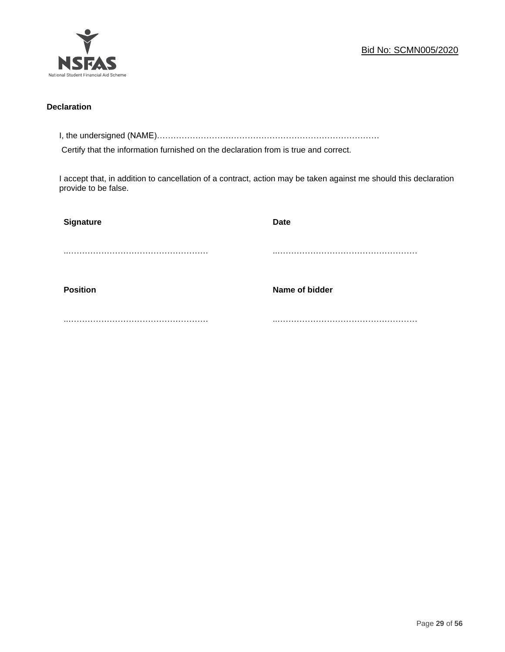

# **Declaration**

I, the undersigned (NAME)………………………………………………………………………

Certify that the information furnished on the declaration from is true and correct.

I accept that, in addition to cancellation of a contract, action may be taken against me should this declaration provide to be false.

| <b>Signature</b> | <b>Date</b>    |
|------------------|----------------|
|                  |                |
|                  |                |
| <b>Position</b>  | Name of bidder |
|                  |                |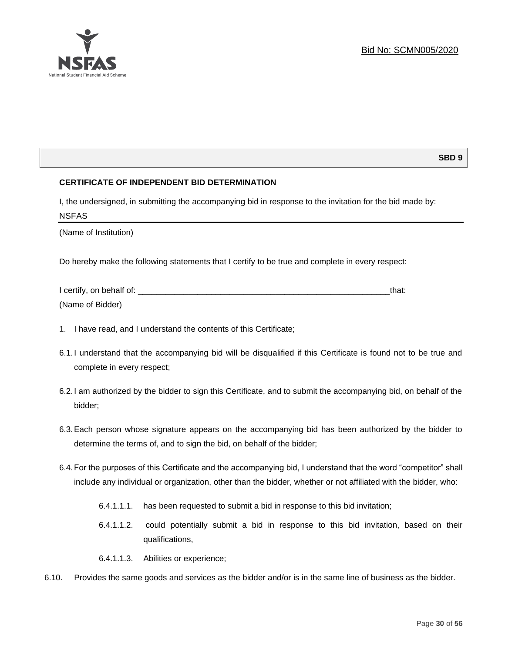

# **SBD 9**

# **CERTIFICATE OF INDEPENDENT BID DETERMINATION**

I, the undersigned, in submitting the accompanying bid in response to the invitation for the bid made by: NSFAS

(Name of Institution)

Do hereby make the following statements that I certify to be true and complete in every respect:

| I certify, on behalf of: |  |
|--------------------------|--|
| (Name of Bidder)         |  |

- 1. I have read, and I understand the contents of this Certificate;
- 6.1.I understand that the accompanying bid will be disqualified if this Certificate is found not to be true and complete in every respect;
- 6.2.I am authorized by the bidder to sign this Certificate, and to submit the accompanying bid, on behalf of the bidder;
- 6.3.Each person whose signature appears on the accompanying bid has been authorized by the bidder to determine the terms of, and to sign the bid, on behalf of the bidder;
- 6.4.For the purposes of this Certificate and the accompanying bid, I understand that the word "competitor" shall include any individual or organization, other than the bidder, whether or not affiliated with the bidder, who:
	- 6.4.1.1.1. has been requested to submit a bid in response to this bid invitation;
	- 6.4.1.1.2. could potentially submit a bid in response to this bid invitation, based on their qualifications,
	- 6.4.1.1.3. Abilities or experience;
- 6.10. Provides the same goods and services as the bidder and/or is in the same line of business as the bidder.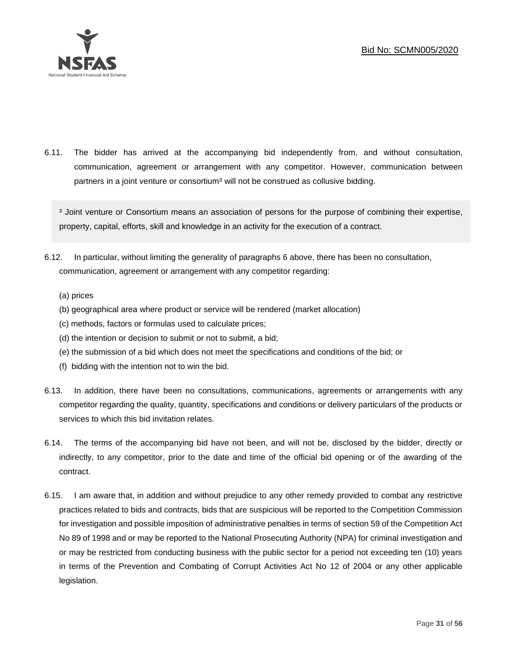

6.11. The bidder has arrived at the accompanying bid independently from, and without consultation, communication, agreement or arrangement with any competitor. However, communication between partners in a joint venture or consortium<sup>3</sup> will not be construed as collusive bidding.

<sup>3</sup> Joint venture or Consortium means an association of persons for the purpose of combining their expertise, property, capital, efforts, skill and knowledge in an activity for the execution of a contract.

- 6.12. In particular, without limiting the generality of paragraphs 6 above, there has been no consultation, communication, agreement or arrangement with any competitor regarding:
	- (a) prices
	- (b) geographical area where product or service will be rendered (market allocation)
	- (c) methods, factors or formulas used to calculate prices;
	- (d) the intention or decision to submit or not to submit, a bid;
	- (e) the submission of a bid which does not meet the specifications and conditions of the bid; or
	- (f) bidding with the intention not to win the bid.
- 6.13. In addition, there have been no consultations, communications, agreements or arrangements with any competitor regarding the quality, quantity, specifications and conditions or delivery particulars of the products or services to which this bid invitation relates.
- 6.14. The terms of the accompanying bid have not been, and will not be, disclosed by the bidder, directly or indirectly, to any competitor, prior to the date and time of the official bid opening or of the awarding of the contract.
- 6.15. I am aware that, in addition and without prejudice to any other remedy provided to combat any restrictive practices related to bids and contracts, bids that are suspicious will be reported to the Competition Commission for investigation and possible imposition of administrative penalties in terms of section 59 of the Competition Act No 89 of 1998 and or may be reported to the National Prosecuting Authority (NPA) for criminal investigation and or may be restricted from conducting business with the public sector for a period not exceeding ten (10) years in terms of the Prevention and Combating of Corrupt Activities Act No 12 of 2004 or any other applicable legislation.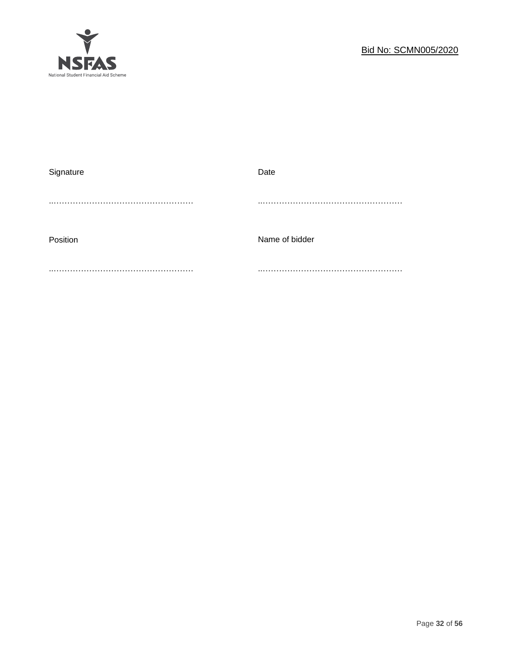

| Signature | Date           |
|-----------|----------------|
|           |                |
|           |                |
|           |                |
| Position  | Name of bidder |
|           |                |
|           |                |
|           |                |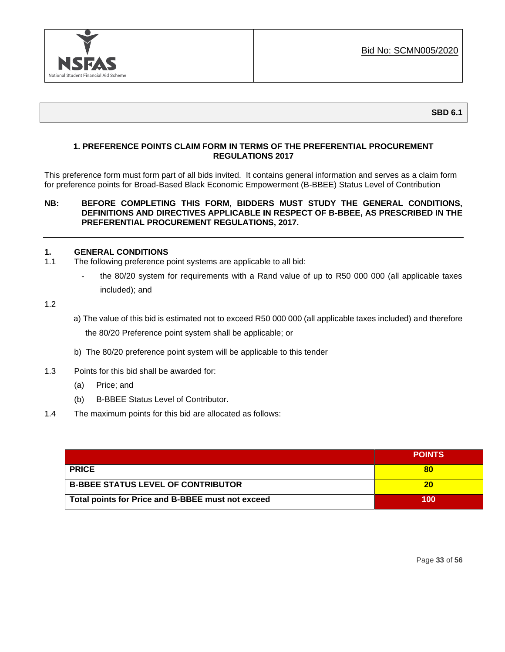

# **1. PREFERENCE POINTS CLAIM FORM IN TERMS OF THE PREFERENTIAL PROCUREMENT REGULATIONS 2017**

This preference form must form part of all bids invited. It contains general information and serves as a claim form for preference points for Broad-Based Black Economic Empowerment (B-BBEE) Status Level of Contribution

# **NB: BEFORE COMPLETING THIS FORM, BIDDERS MUST STUDY THE GENERAL CONDITIONS, DEFINITIONS AND DIRECTIVES APPLICABLE IN RESPECT OF B-BBEE, AS PRESCRIBED IN THE PREFERENTIAL PROCUREMENT REGULATIONS, 2017.**

# **1. GENERAL CONDITIONS**

- 1.1 The following preference point systems are applicable to all bid:
	- the 80/20 system for requirements with a Rand value of up to R50 000 000 (all applicable taxes included); and
- 1.2
- a) The value of this bid is estimated not to exceed R50 000 000 (all applicable taxes included) and therefore the 80/20 Preference point system shall be applicable; or
- b) The 80/20 preference point system will be applicable to this tender
- 1.3 Points for this bid shall be awarded for:
	- (a) Price; and
	- (b) B-BBEE Status Level of Contributor.
- 1.4 The maximum points for this bid are allocated as follows:

|                                                   | <b>POINTS</b> |
|---------------------------------------------------|---------------|
| <b>PRICE</b>                                      | 80            |
| <b>B-BBEE STATUS LEVEL OF CONTRIBUTOR</b>         | 20            |
| Total points for Price and B-BBEE must not exceed | 100           |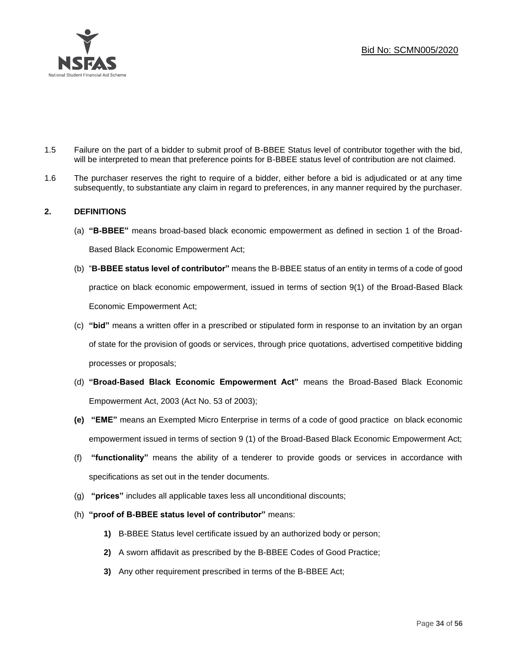

- 1.5 Failure on the part of a bidder to submit proof of B-BBEE Status level of contributor together with the bid, will be interpreted to mean that preference points for B-BBEE status level of contribution are not claimed.
- 1.6 The purchaser reserves the right to require of a bidder, either before a bid is adjudicated or at any time subsequently, to substantiate any claim in regard to preferences, in any manner required by the purchaser.

# **2. DEFINITIONS**

- (a) **"B-BBEE"** means broad-based black economic empowerment as defined in section 1 of the Broad-Based Black Economic Empowerment Act;
- (b) "**B-BBEE status level of contributor"** means the B-BBEE status of an entity in terms of a code of good practice on black economic empowerment, issued in terms of section 9(1) of the Broad-Based Black Economic Empowerment Act;
- (c) **"bid"** means a written offer in a prescribed or stipulated form in response to an invitation by an organ of state for the provision of goods or services, through price quotations, advertised competitive bidding processes or proposals;
- (d) **"Broad-Based Black Economic Empowerment Act"** means the Broad-Based Black Economic Empowerment Act, 2003 (Act No. 53 of 2003);
- **(e) "EME"** means an Exempted Micro Enterprise in terms of a code of good practice on black economic empowerment issued in terms of section 9 (1) of the Broad-Based Black Economic Empowerment Act;
- (f) **"functionality"** means the ability of a tenderer to provide goods or services in accordance with specifications as set out in the tender documents.
- (g) **"prices"** includes all applicable taxes less all unconditional discounts;
- (h) **"proof of B-BBEE status level of contributor"** means:
	- **1)** B-BBEE Status level certificate issued by an authorized body or person;
	- **2)** A sworn affidavit as prescribed by the B-BBEE Codes of Good Practice;
	- **3)** Any other requirement prescribed in terms of the B-BBEE Act;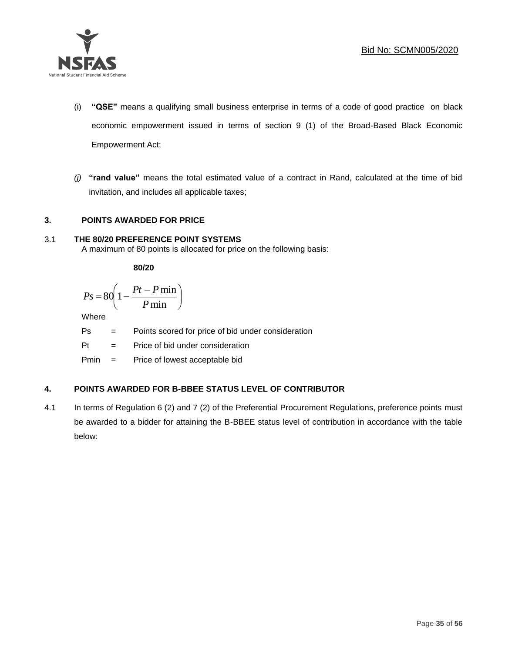

- (i) **"QSE"** means a qualifying small business enterprise in terms of a code of good practice on black economic empowerment issued in terms of section 9 (1) of the Broad-Based Black Economic Empowerment Act;
- *(j)* **"rand value"** means the total estimated value of a contract in Rand, calculated at the time of bid invitation, and includes all applicable taxes;

# **3. POINTS AWARDED FOR PRICE**

# 3.1 **THE 80/20 PREFERENCE POINT SYSTEMS**

A maximum of 80 points is allocated for price on the following basis:

**80/20**

$$
Ps = 80 \left( 1 - \frac{Pt - P \min}{P \min} \right)
$$

Where

- Ps = Points scored for price of bid under consideration
- $Pt =$  Price of bid under consideration
- Pmin = Price of lowest acceptable bid

# **4. POINTS AWARDED FOR B-BBEE STATUS LEVEL OF CONTRIBUTOR**

4.1 In terms of Regulation 6 (2) and 7 (2) of the Preferential Procurement Regulations, preference points must be awarded to a bidder for attaining the B-BBEE status level of contribution in accordance with the table below: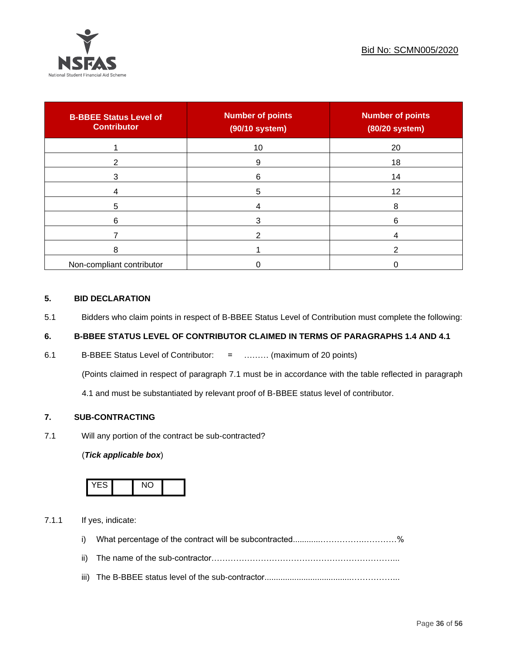

| <b>B-BBEE Status Level of</b><br><b>Contributor</b> | <b>Number of points</b><br>(90/10 system) | <b>Number of points</b><br>(80/20 system) |
|-----------------------------------------------------|-------------------------------------------|-------------------------------------------|
|                                                     | 10                                        | 20                                        |
| ົ                                                   | 9                                         | 18                                        |
| 3                                                   | 6                                         | 14                                        |
|                                                     | 5                                         | 12                                        |
| 5                                                   |                                           | 8                                         |
| 6                                                   |                                           | 6                                         |
|                                                     |                                           |                                           |
| 8                                                   |                                           |                                           |
| Non-compliant contributor                           |                                           |                                           |

# **5. BID DECLARATION**

5.1 Bidders who claim points in respect of B-BBEE Status Level of Contribution must complete the following:

# **6. B-BBEE STATUS LEVEL OF CONTRIBUTOR CLAIMED IN TERMS OF PARAGRAPHS 1.4 AND 4.1**

6.1 B-BBEE Status Level of Contributor: = ……… (maximum of 20 points)

(Points claimed in respect of paragraph 7.1 must be in accordance with the table reflected in paragraph

4.1 and must be substantiated by relevant proof of B-BBEE status level of contributor.

# **7. SUB-CONTRACTING**

7.1 Will any portion of the contract be sub-contracted?

# (*Tick applicable box*)



7.1.1 If yes, indicate:

- i) What percentage of the contract will be subcontracted............…………….…………%
- ii) The name of the sub-contractor…………………………………………………………...
- iii) The B-BBEE status level of the sub-contractor......................................……………...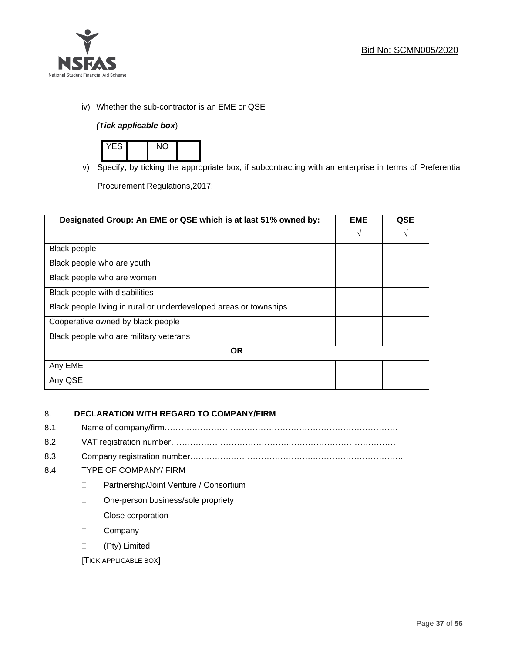

iv) Whether the sub-contractor is an EME or QSE

# *(Tick applicable box*)



v) Specify, by ticking the appropriate box, if subcontracting with an enterprise in terms of Preferential

Procurement Regulations,2017:

| Designated Group: An EME or QSE which is at last 51% owned by:    | <b>EME</b> | <b>QSE</b> |
|-------------------------------------------------------------------|------------|------------|
|                                                                   | $\sqrt{ }$ | V          |
| <b>Black people</b>                                               |            |            |
| Black people who are youth                                        |            |            |
| Black people who are women                                        |            |            |
| Black people with disabilities                                    |            |            |
| Black people living in rural or underdeveloped areas or townships |            |            |
| Cooperative owned by black people                                 |            |            |
| Black people who are military veterans                            |            |            |
| <b>OR</b>                                                         |            |            |
| Any EME                                                           |            |            |
| Any QSE                                                           |            |            |

# 8. **DECLARATION WITH REGARD TO COMPANY/FIRM**

- 8.1 Name of company/firm………………………………………………………………………….
- 8.2 VAT registration number…………………………………….…………………………………
- 8.3 Company registration number…………….……………………….…………………………….

# 8.4 TYPE OF COMPANY/ FIRM

- D Partnership/Joint Venture / Consortium
- □ One-person business/sole propriety
- D Close corporation
- D Company
- (Pty) Limited

[TICK APPLICABLE BOX]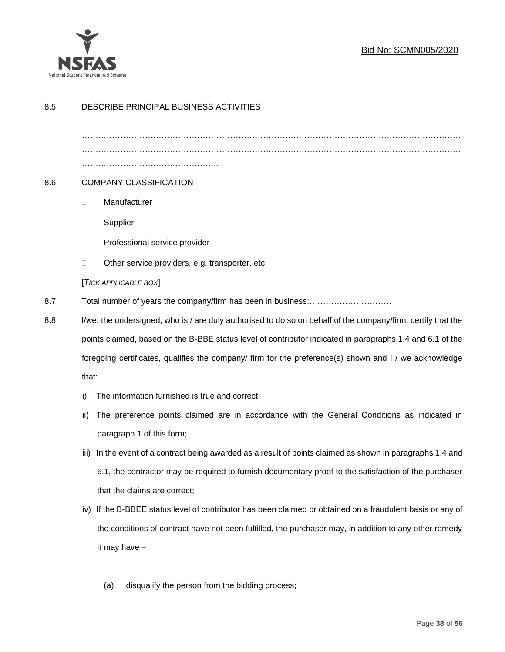

# Bid No: SCMN005/2020

| 8.5 | DESCRIBE PRINCIPAL BUSINESS ACTIVITIES                                                                                  |                                                                                                           |
|-----|-------------------------------------------------------------------------------------------------------------------------|-----------------------------------------------------------------------------------------------------------|
|     |                                                                                                                         |                                                                                                           |
|     |                                                                                                                         |                                                                                                           |
|     |                                                                                                                         |                                                                                                           |
| 8.6 | <b>COMPANY CLASSIFICATION</b>                                                                                           |                                                                                                           |
|     | $\Box$                                                                                                                  | Manufacturer                                                                                              |
|     | $\Box$                                                                                                                  | Supplier                                                                                                  |
|     | $\Box$                                                                                                                  | Professional service provider                                                                             |
|     | $\Box$                                                                                                                  | Other service providers, e.g. transporter, etc.                                                           |
|     |                                                                                                                         | [TICK APPLICABLE BOX]                                                                                     |
| 8.7 | Total number of years the company/firm has been in business:                                                            |                                                                                                           |
| 8.8 | I/we, the undersigned, who is / are duly authorised to do so on behalf of the company/firm, certify that the            |                                                                                                           |
|     |                                                                                                                         | points claimed, based on the B-BBE status level of contributor indicated in paragraphs 1.4 and 6.1 of the |
|     | foregoing certificates, qualifies the company/ firm for the preference(s) shown and I / we acknowledge                  |                                                                                                           |
|     | that:                                                                                                                   |                                                                                                           |
|     | i)                                                                                                                      | The information furnished is true and correct;                                                            |
|     | ii)                                                                                                                     | The preference points claimed are in accordance with the General Conditions as indicated in               |
|     |                                                                                                                         | paragraph 1 of this form;                                                                                 |
|     | iii)                                                                                                                    | In the event of a contract being awarded as a result of points claimed as shown in paragraphs 1.4 and     |
|     |                                                                                                                         | 6.1, the contractor may be required to furnish documentary proof to the satisfaction of the purchaser     |
|     |                                                                                                                         | that the claims are correct;                                                                              |
|     | iv)                                                                                                                     | If the B-BBEE status level of contributor has been claimed or obtained on a fraudulent basis or any of    |
|     | the conditions of contract have not been fulfilled, the purchaser may, in addition to any other remedy<br>it may have - |                                                                                                           |
|     |                                                                                                                         |                                                                                                           |
|     |                                                                                                                         |                                                                                                           |
|     |                                                                                                                         | disqualify the person from the bidding process;<br>(a)                                                    |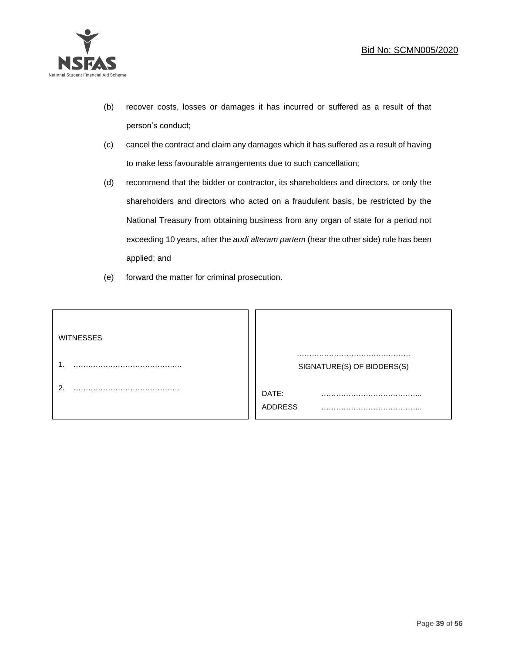

- (b) recover costs, losses or damages it has incurred or suffered as a result of that person's conduct;
- (c) cancel the contract and claim any damages which it has suffered as a result of having to make less favourable arrangements due to such cancellation;
- (d) recommend that the bidder or contractor, its shareholders and directors, or only the shareholders and directors who acted on a fraudulent basis, be restricted by the National Treasury from obtaining business from any organ of state for a period not exceeding 10 years, after the *audi alteram partem* (hear the other side) rule has been applied; and
- (e) forward the matter for criminal prosecution.

| <b>WITNESSES</b> |                            |
|------------------|----------------------------|
|                  | SIGNATURE(S) OF BIDDERS(S) |
|                  | DATE:<br>.<br>ADDRESS      |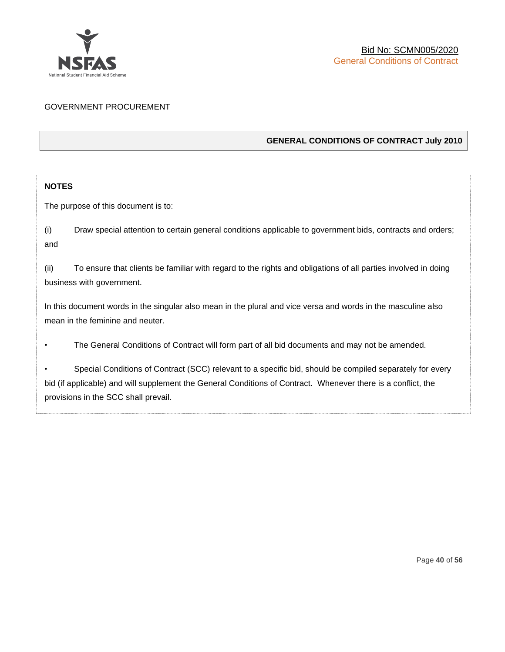

# GOVERNMENT PROCUREMENT

# **GENERAL CONDITIONS OF CONTRACT July 2010**

# **NOTES**

The purpose of this document is to:

(i) Draw special attention to certain general conditions applicable to government bids, contracts and orders; and

(ii) To ensure that clients be familiar with regard to the rights and obligations of all parties involved in doing business with government.

In this document words in the singular also mean in the plural and vice versa and words in the masculine also mean in the feminine and neuter.

• The General Conditions of Contract will form part of all bid documents and may not be amended.

Special Conditions of Contract (SCC) relevant to a specific bid, should be compiled separately for every bid (if applicable) and will supplement the General Conditions of Contract. Whenever there is a conflict, the provisions in the SCC shall prevail.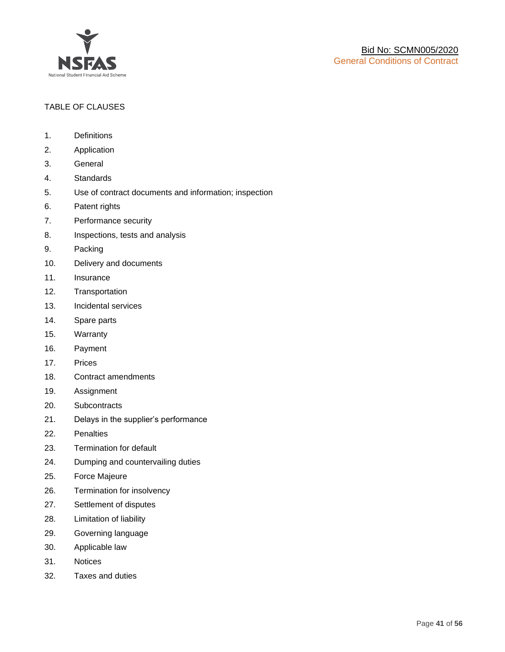

# TABLE OF CLAUSES

- 1. Definitions
- 2. Application
- 3. General
- 4. Standards
- 5. Use of contract documents and information; inspection
- 6. Patent rights
- 7. Performance security
- 8. Inspections, tests and analysis
- 9. Packing
- 10. Delivery and documents
- 11. Insurance
- 12. Transportation
- 13. Incidental services
- 14. Spare parts
- 15. Warranty
- 16. Payment
- 17. Prices
- 18. Contract amendments
- 19. Assignment
- 20. Subcontracts
- 21. Delays in the supplier's performance
- 22. Penalties
- 23. Termination for default
- 24. Dumping and countervailing duties
- 25. Force Majeure
- 26. Termination for insolvency
- 27. Settlement of disputes
- 28. Limitation of liability
- 29. Governing language
- 30. Applicable law
- 31. Notices
- 32. Taxes and duties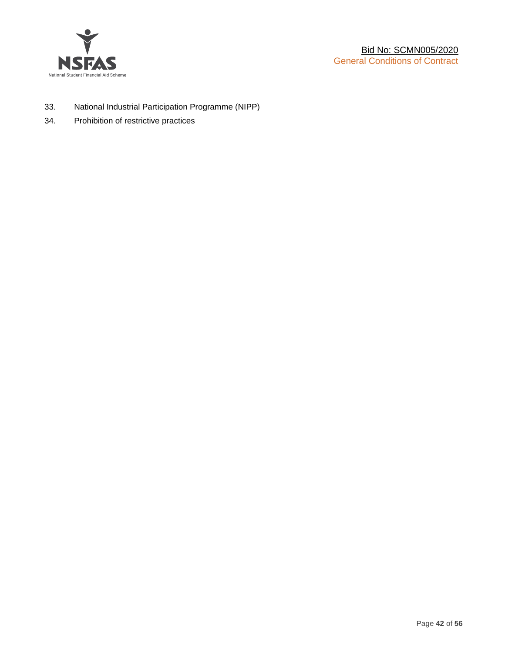

- 33. National Industrial Participation Programme (NIPP)
- 34. Prohibition of restrictive practices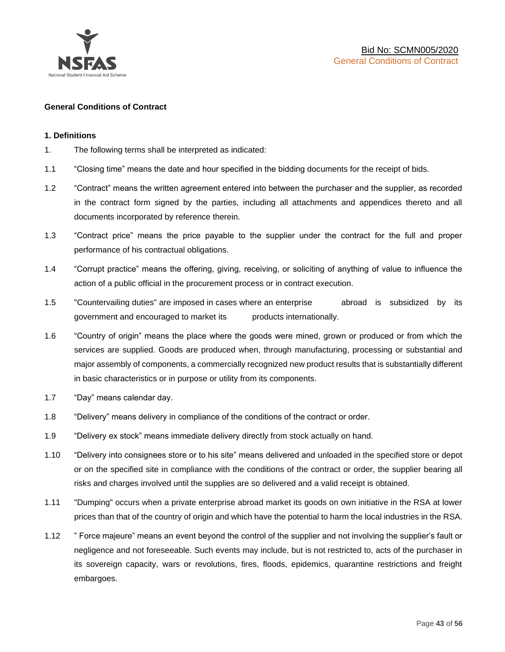

# **General Conditions of Contract**

# **1. Definitions**

- 1. The following terms shall be interpreted as indicated:
- 1.1 "Closing time" means the date and hour specified in the bidding documents for the receipt of bids.
- 1.2 "Contract" means the written agreement entered into between the purchaser and the supplier, as recorded in the contract form signed by the parties, including all attachments and appendices thereto and all documents incorporated by reference therein.
- 1.3 "Contract price" means the price payable to the supplier under the contract for the full and proper performance of his contractual obligations.
- 1.4 "Corrupt practice" means the offering, giving, receiving, or soliciting of anything of value to influence the action of a public official in the procurement process or in contract execution.
- 1.5 "Countervailing duties" are imposed in cases where an enterprise abroad is subsidized by its government and encouraged to market its products internationally.
- 1.6 "Country of origin" means the place where the goods were mined, grown or produced or from which the services are supplied. Goods are produced when, through manufacturing, processing or substantial and major assembly of components, a commercially recognized new product results that is substantially different in basic characteristics or in purpose or utility from its components.
- 1.7 "Day" means calendar day.
- 1.8 "Delivery" means delivery in compliance of the conditions of the contract or order.
- 1.9 "Delivery ex stock" means immediate delivery directly from stock actually on hand.
- 1.10 "Delivery into consignees store or to his site" means delivered and unloaded in the specified store or depot or on the specified site in compliance with the conditions of the contract or order, the supplier bearing all risks and charges involved until the supplies are so delivered and a valid receipt is obtained.
- 1.11 "Dumping" occurs when a private enterprise abroad market its goods on own initiative in the RSA at lower prices than that of the country of origin and which have the potential to harm the local industries in the RSA.
- 1.12 " Force majeure" means an event beyond the control of the supplier and not involving the supplier's fault or negligence and not foreseeable. Such events may include, but is not restricted to, acts of the purchaser in its sovereign capacity, wars or revolutions, fires, floods, epidemics, quarantine restrictions and freight embargoes.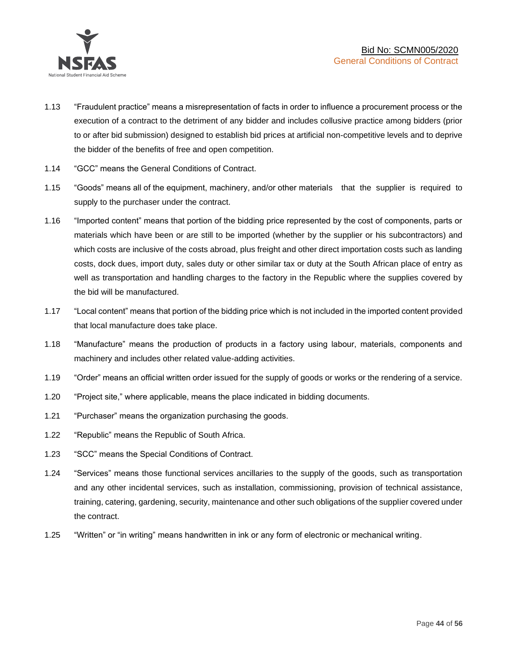

- 1.13 "Fraudulent practice" means a misrepresentation of facts in order to influence a procurement process or the execution of a contract to the detriment of any bidder and includes collusive practice among bidders (prior to or after bid submission) designed to establish bid prices at artificial non-competitive levels and to deprive the bidder of the benefits of free and open competition.
- 1.14 "GCC" means the General Conditions of Contract.
- 1.15 "Goods" means all of the equipment, machinery, and/or other materials that the supplier is required to supply to the purchaser under the contract.
- 1.16 "Imported content" means that portion of the bidding price represented by the cost of components, parts or materials which have been or are still to be imported (whether by the supplier or his subcontractors) and which costs are inclusive of the costs abroad, plus freight and other direct importation costs such as landing costs, dock dues, import duty, sales duty or other similar tax or duty at the South African place of entry as well as transportation and handling charges to the factory in the Republic where the supplies covered by the bid will be manufactured.
- 1.17 "Local content" means that portion of the bidding price which is not included in the imported content provided that local manufacture does take place.
- 1.18 "Manufacture" means the production of products in a factory using labour, materials, components and machinery and includes other related value-adding activities.
- 1.19 "Order" means an official written order issued for the supply of goods or works or the rendering of a service.
- 1.20 "Project site," where applicable, means the place indicated in bidding documents.
- 1.21 "Purchaser" means the organization purchasing the goods.
- 1.22 "Republic" means the Republic of South Africa.
- 1.23 "SCC" means the Special Conditions of Contract.
- 1.24 "Services" means those functional services ancillaries to the supply of the goods, such as transportation and any other incidental services, such as installation, commissioning, provision of technical assistance, training, catering, gardening, security, maintenance and other such obligations of the supplier covered under the contract.
- 1.25 "Written" or "in writing" means handwritten in ink or any form of electronic or mechanical writing.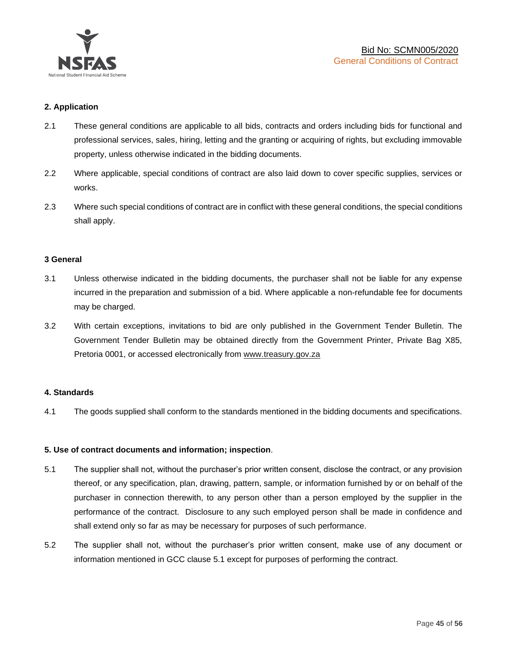

# **2. Application**

- 2.1 These general conditions are applicable to all bids, contracts and orders including bids for functional and professional services, sales, hiring, letting and the granting or acquiring of rights, but excluding immovable property, unless otherwise indicated in the bidding documents.
- 2.2 Where applicable, special conditions of contract are also laid down to cover specific supplies, services or works.
- 2.3 Where such special conditions of contract are in conflict with these general conditions, the special conditions shall apply.

### **3 General**

- 3.1 Unless otherwise indicated in the bidding documents, the purchaser shall not be liable for any expense incurred in the preparation and submission of a bid. Where applicable a non-refundable fee for documents may be charged.
- 3.2 With certain exceptions, invitations to bid are only published in the Government Tender Bulletin. The Government Tender Bulletin may be obtained directly from the Government Printer, Private Bag X85, Pretoria 0001, or accessed electronically from [www.treasury.gov.za](http://www.treasury.gov.za/)

### **4. Standards**

4.1 The goods supplied shall conform to the standards mentioned in the bidding documents and specifications.

### **5. Use of contract documents and information; inspection**.

- 5.1 The supplier shall not, without the purchaser's prior written consent, disclose the contract, or any provision thereof, or any specification, plan, drawing, pattern, sample, or information furnished by or on behalf of the purchaser in connection therewith, to any person other than a person employed by the supplier in the performance of the contract. Disclosure to any such employed person shall be made in confidence and shall extend only so far as may be necessary for purposes of such performance.
- 5.2 The supplier shall not, without the purchaser's prior written consent, make use of any document or information mentioned in GCC clause 5.1 except for purposes of performing the contract.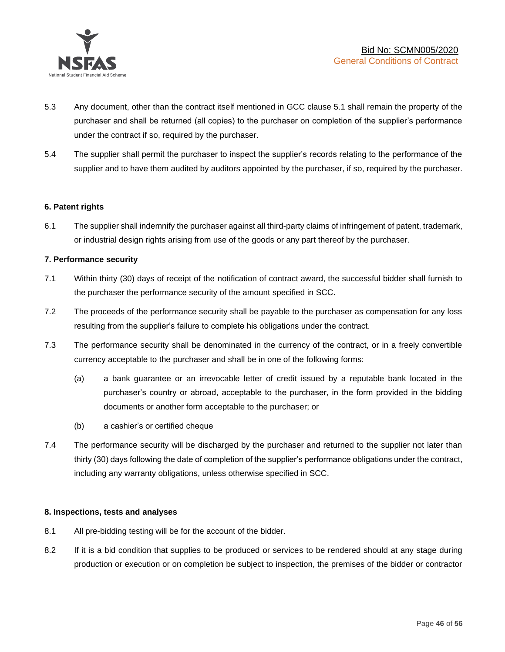

- 5.3 Any document, other than the contract itself mentioned in GCC clause 5.1 shall remain the property of the purchaser and shall be returned (all copies) to the purchaser on completion of the supplier's performance under the contract if so, required by the purchaser.
- 5.4 The supplier shall permit the purchaser to inspect the supplier's records relating to the performance of the supplier and to have them audited by auditors appointed by the purchaser, if so, required by the purchaser.

# **6. Patent rights**

6.1 The supplier shall indemnify the purchaser against all third-party claims of infringement of patent, trademark, or industrial design rights arising from use of the goods or any part thereof by the purchaser.

# **7. Performance security**

- 7.1 Within thirty (30) days of receipt of the notification of contract award, the successful bidder shall furnish to the purchaser the performance security of the amount specified in SCC.
- 7.2 The proceeds of the performance security shall be payable to the purchaser as compensation for any loss resulting from the supplier's failure to complete his obligations under the contract.
- 7.3 The performance security shall be denominated in the currency of the contract, or in a freely convertible currency acceptable to the purchaser and shall be in one of the following forms:
	- (a) a bank guarantee or an irrevocable letter of credit issued by a reputable bank located in the purchaser's country or abroad, acceptable to the purchaser, in the form provided in the bidding documents or another form acceptable to the purchaser; or
	- (b) a cashier's or certified cheque
- 7.4 The performance security will be discharged by the purchaser and returned to the supplier not later than thirty (30) days following the date of completion of the supplier's performance obligations under the contract, including any warranty obligations, unless otherwise specified in SCC.

### **8. Inspections, tests and analyses**

- 8.1 All pre-bidding testing will be for the account of the bidder.
- 8.2 If it is a bid condition that supplies to be produced or services to be rendered should at any stage during production or execution or on completion be subject to inspection, the premises of the bidder or contractor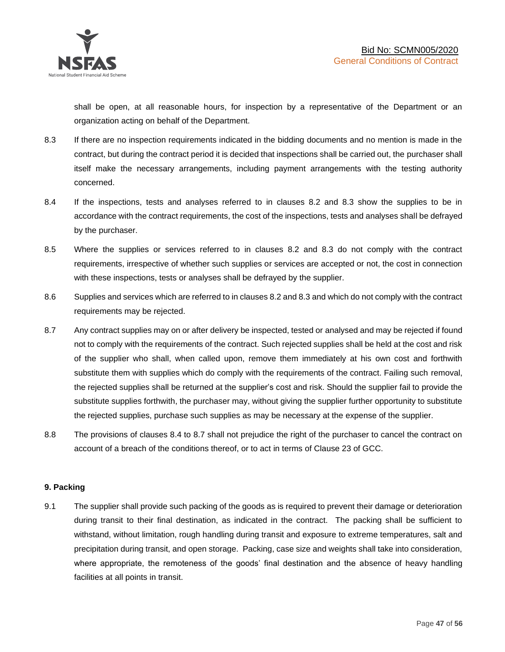shall be open, at all reasonable hours, for inspection by a representative of the Department or an organization acting on behalf of the Department.

- 8.3 If there are no inspection requirements indicated in the bidding documents and no mention is made in the contract, but during the contract period it is decided that inspections shall be carried out, the purchaser shall itself make the necessary arrangements, including payment arrangements with the testing authority concerned.
- 8.4 If the inspections, tests and analyses referred to in clauses 8.2 and 8.3 show the supplies to be in accordance with the contract requirements, the cost of the inspections, tests and analyses shall be defrayed by the purchaser.
- 8.5 Where the supplies or services referred to in clauses 8.2 and 8.3 do not comply with the contract requirements, irrespective of whether such supplies or services are accepted or not, the cost in connection with these inspections, tests or analyses shall be defrayed by the supplier.
- 8.6 Supplies and services which are referred to in clauses 8.2 and 8.3 and which do not comply with the contract requirements may be rejected.
- 8.7 Any contract supplies may on or after delivery be inspected, tested or analysed and may be rejected if found not to comply with the requirements of the contract. Such rejected supplies shall be held at the cost and risk of the supplier who shall, when called upon, remove them immediately at his own cost and forthwith substitute them with supplies which do comply with the requirements of the contract. Failing such removal, the rejected supplies shall be returned at the supplier's cost and risk. Should the supplier fail to provide the substitute supplies forthwith, the purchaser may, without giving the supplier further opportunity to substitute the rejected supplies, purchase such supplies as may be necessary at the expense of the supplier.
- 8.8 The provisions of clauses 8.4 to 8.7 shall not prejudice the right of the purchaser to cancel the contract on account of a breach of the conditions thereof, or to act in terms of Clause 23 of GCC.

# **9. Packing**

9.1 The supplier shall provide such packing of the goods as is required to prevent their damage or deterioration during transit to their final destination, as indicated in the contract. The packing shall be sufficient to withstand, without limitation, rough handling during transit and exposure to extreme temperatures, salt and precipitation during transit, and open storage. Packing, case size and weights shall take into consideration, where appropriate, the remoteness of the goods' final destination and the absence of heavy handling facilities at all points in transit.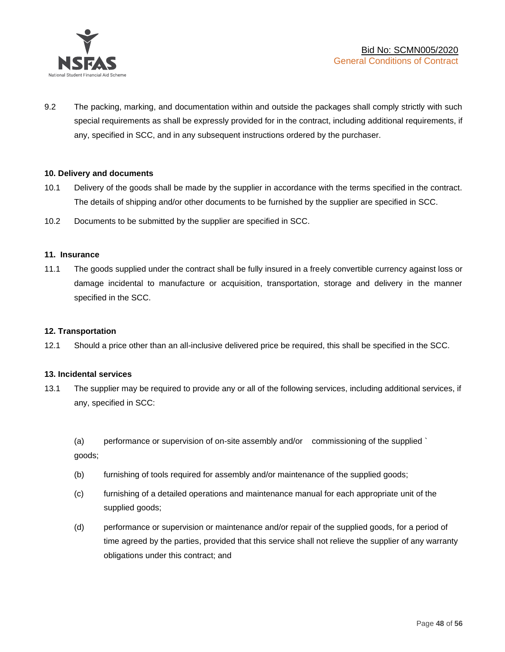

9.2 The packing, marking, and documentation within and outside the packages shall comply strictly with such special requirements as shall be expressly provided for in the contract, including additional requirements, if any, specified in SCC, and in any subsequent instructions ordered by the purchaser.

# **10. Delivery and documents**

- 10.1 Delivery of the goods shall be made by the supplier in accordance with the terms specified in the contract. The details of shipping and/or other documents to be furnished by the supplier are specified in SCC.
- 10.2 Documents to be submitted by the supplier are specified in SCC.

### **11. Insurance**

11.1 The goods supplied under the contract shall be fully insured in a freely convertible currency against loss or damage incidental to manufacture or acquisition, transportation, storage and delivery in the manner specified in the SCC.

### **12. Transportation**

12.1 Should a price other than an all-inclusive delivered price be required, this shall be specified in the SCC.

### **13. Incidental services**

13.1 The supplier may be required to provide any or all of the following services, including additional services, if any, specified in SCC:

(a) performance or supervision of on-site assembly and/or commissioning of the supplied ` goods;

- (b) furnishing of tools required for assembly and/or maintenance of the supplied goods;
- (c) furnishing of a detailed operations and maintenance manual for each appropriate unit of the supplied goods;
- (d) performance or supervision or maintenance and/or repair of the supplied goods, for a period of time agreed by the parties, provided that this service shall not relieve the supplier of any warranty obligations under this contract; and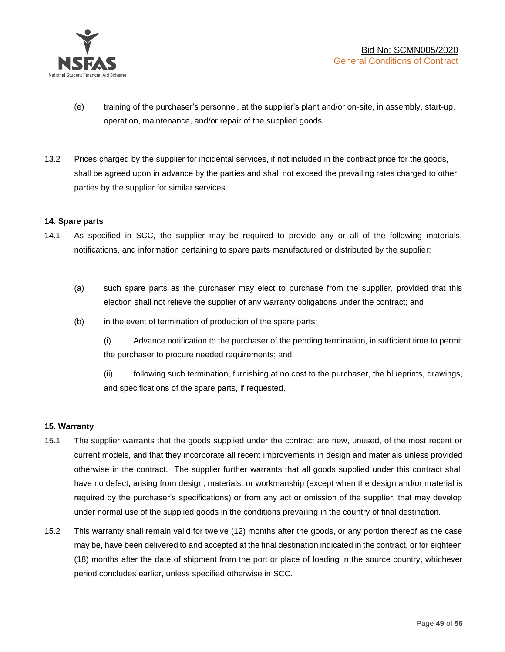

- (e) training of the purchaser's personnel, at the supplier's plant and/or on-site, in assembly, start-up, operation, maintenance, and/or repair of the supplied goods.
- 13.2 Prices charged by the supplier for incidental services, if not included in the contract price for the goods, shall be agreed upon in advance by the parties and shall not exceed the prevailing rates charged to other parties by the supplier for similar services.

# **14. Spare parts**

- 14.1 As specified in SCC, the supplier may be required to provide any or all of the following materials, notifications, and information pertaining to spare parts manufactured or distributed by the supplier:
	- (a) such spare parts as the purchaser may elect to purchase from the supplier, provided that this election shall not relieve the supplier of any warranty obligations under the contract; and
	- (b) in the event of termination of production of the spare parts:

(i) Advance notification to the purchaser of the pending termination, in sufficient time to permit the purchaser to procure needed requirements; and

(ii) following such termination, furnishing at no cost to the purchaser, the blueprints, drawings, and specifications of the spare parts, if requested.

### **15. Warranty**

- 15.1 The supplier warrants that the goods supplied under the contract are new, unused, of the most recent or current models, and that they incorporate all recent improvements in design and materials unless provided otherwise in the contract. The supplier further warrants that all goods supplied under this contract shall have no defect, arising from design, materials, or workmanship (except when the design and/or material is required by the purchaser's specifications) or from any act or omission of the supplier, that may develop under normal use of the supplied goods in the conditions prevailing in the country of final destination.
- 15.2 This warranty shall remain valid for twelve (12) months after the goods, or any portion thereof as the case may be, have been delivered to and accepted at the final destination indicated in the contract, or for eighteen (18) months after the date of shipment from the port or place of loading in the source country, whichever period concludes earlier, unless specified otherwise in SCC.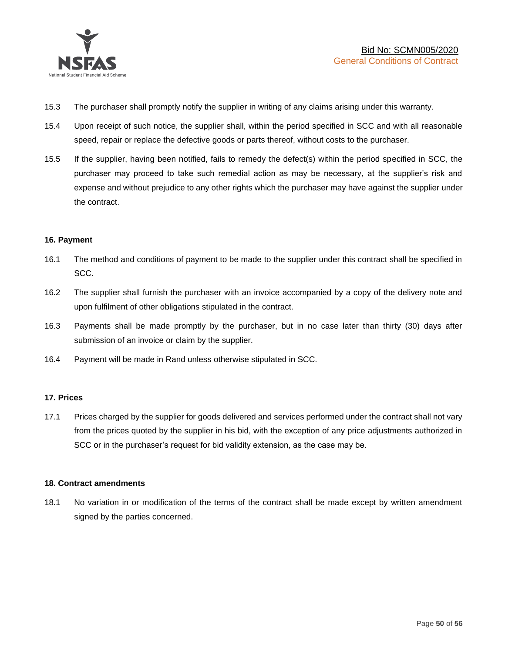

- 15.3 The purchaser shall promptly notify the supplier in writing of any claims arising under this warranty.
- 15.4 Upon receipt of such notice, the supplier shall, within the period specified in SCC and with all reasonable speed, repair or replace the defective goods or parts thereof, without costs to the purchaser.
- 15.5 If the supplier, having been notified, fails to remedy the defect(s) within the period specified in SCC, the purchaser may proceed to take such remedial action as may be necessary, at the supplier's risk and expense and without prejudice to any other rights which the purchaser may have against the supplier under the contract.

# **16. Payment**

- 16.1 The method and conditions of payment to be made to the supplier under this contract shall be specified in SCC.
- 16.2 The supplier shall furnish the purchaser with an invoice accompanied by a copy of the delivery note and upon fulfilment of other obligations stipulated in the contract.
- 16.3 Payments shall be made promptly by the purchaser, but in no case later than thirty (30) days after submission of an invoice or claim by the supplier.
- 16.4 Payment will be made in Rand unless otherwise stipulated in SCC.

### **17. Prices**

17.1 Prices charged by the supplier for goods delivered and services performed under the contract shall not vary from the prices quoted by the supplier in his bid, with the exception of any price adjustments authorized in SCC or in the purchaser's request for bid validity extension, as the case may be.

### **18. Contract amendments**

18.1 No variation in or modification of the terms of the contract shall be made except by written amendment signed by the parties concerned.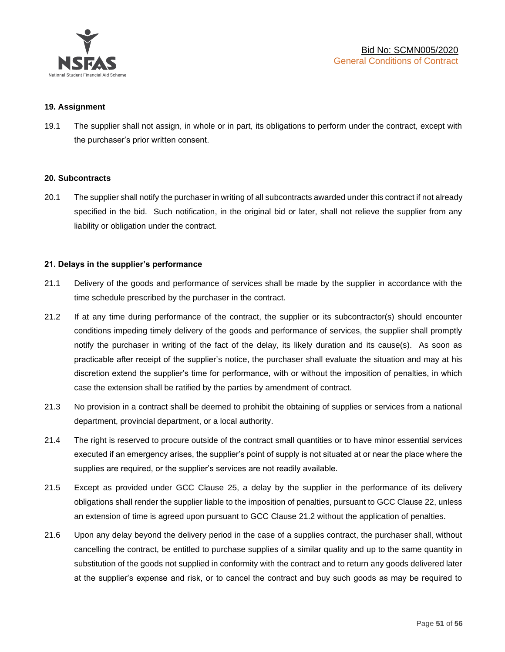

### **19. Assignment**

19.1 The supplier shall not assign, in whole or in part, its obligations to perform under the contract, except with the purchaser's prior written consent.

### **20. Subcontracts**

20.1 The supplier shall notify the purchaser in writing of all subcontracts awarded under this contract if not already specified in the bid. Such notification, in the original bid or later, shall not relieve the supplier from any liability or obligation under the contract.

# **21. Delays in the supplier's performance**

- 21.1 Delivery of the goods and performance of services shall be made by the supplier in accordance with the time schedule prescribed by the purchaser in the contract.
- 21.2 If at any time during performance of the contract, the supplier or its subcontractor(s) should encounter conditions impeding timely delivery of the goods and performance of services, the supplier shall promptly notify the purchaser in writing of the fact of the delay, its likely duration and its cause(s). As soon as practicable after receipt of the supplier's notice, the purchaser shall evaluate the situation and may at his discretion extend the supplier's time for performance, with or without the imposition of penalties, in which case the extension shall be ratified by the parties by amendment of contract.
- 21.3 No provision in a contract shall be deemed to prohibit the obtaining of supplies or services from a national department, provincial department, or a local authority.
- 21.4 The right is reserved to procure outside of the contract small quantities or to have minor essential services executed if an emergency arises, the supplier's point of supply is not situated at or near the place where the supplies are required, or the supplier's services are not readily available.
- 21.5 Except as provided under GCC Clause 25, a delay by the supplier in the performance of its delivery obligations shall render the supplier liable to the imposition of penalties, pursuant to GCC Clause 22, unless an extension of time is agreed upon pursuant to GCC Clause 21.2 without the application of penalties.
- 21.6 Upon any delay beyond the delivery period in the case of a supplies contract, the purchaser shall, without cancelling the contract, be entitled to purchase supplies of a similar quality and up to the same quantity in substitution of the goods not supplied in conformity with the contract and to return any goods delivered later at the supplier's expense and risk, or to cancel the contract and buy such goods as may be required to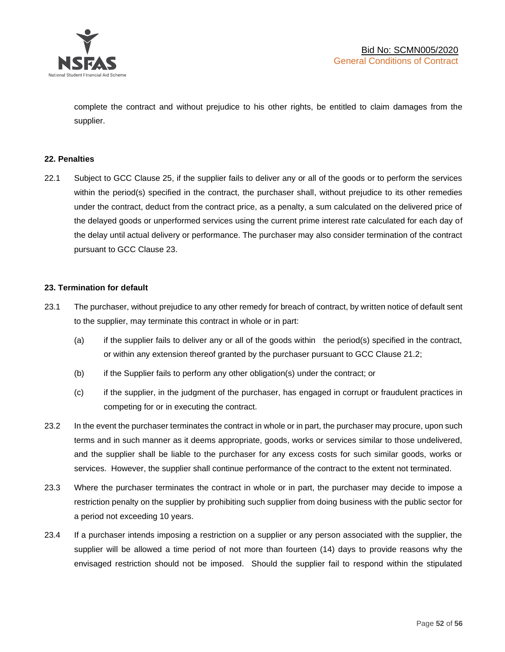

complete the contract and without prejudice to his other rights, be entitled to claim damages from the supplier.

# **22. Penalties**

22.1 Subject to GCC Clause 25, if the supplier fails to deliver any or all of the goods or to perform the services within the period(s) specified in the contract, the purchaser shall, without prejudice to its other remedies under the contract, deduct from the contract price, as a penalty, a sum calculated on the delivered price of the delayed goods or unperformed services using the current prime interest rate calculated for each day of the delay until actual delivery or performance. The purchaser may also consider termination of the contract pursuant to GCC Clause 23.

# **23. Termination for default**

- 23.1 The purchaser, without prejudice to any other remedy for breach of contract, by written notice of default sent to the supplier, may terminate this contract in whole or in part:
	- (a) if the supplier fails to deliver any or all of the goods within the period(s) specified in the contract, or within any extension thereof granted by the purchaser pursuant to GCC Clause 21.2;
	- (b) if the Supplier fails to perform any other obligation(s) under the contract; or
	- (c) if the supplier, in the judgment of the purchaser, has engaged in corrupt or fraudulent practices in competing for or in executing the contract.
- 23.2 In the event the purchaser terminates the contract in whole or in part, the purchaser may procure, upon such terms and in such manner as it deems appropriate, goods, works or services similar to those undelivered, and the supplier shall be liable to the purchaser for any excess costs for such similar goods, works or services. However, the supplier shall continue performance of the contract to the extent not terminated.
- 23.3 Where the purchaser terminates the contract in whole or in part, the purchaser may decide to impose a restriction penalty on the supplier by prohibiting such supplier from doing business with the public sector for a period not exceeding 10 years.
- 23.4 If a purchaser intends imposing a restriction on a supplier or any person associated with the supplier, the supplier will be allowed a time period of not more than fourteen (14) days to provide reasons why the envisaged restriction should not be imposed. Should the supplier fail to respond within the stipulated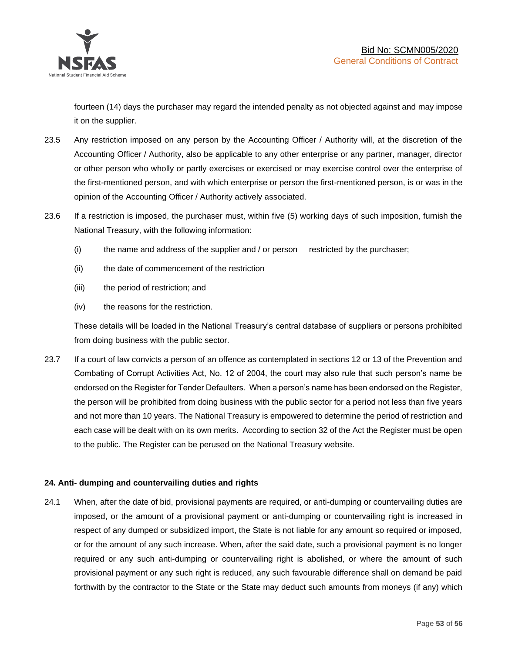

fourteen (14) days the purchaser may regard the intended penalty as not objected against and may impose it on the supplier.

- 23.5 Any restriction imposed on any person by the Accounting Officer / Authority will, at the discretion of the Accounting Officer / Authority, also be applicable to any other enterprise or any partner, manager, director or other person who wholly or partly exercises or exercised or may exercise control over the enterprise of the first-mentioned person, and with which enterprise or person the first-mentioned person, is or was in the opinion of the Accounting Officer / Authority actively associated.
- 23.6 If a restriction is imposed, the purchaser must, within five (5) working days of such imposition, furnish the National Treasury, with the following information:
	- (i) the name and address of the supplier and / or person restricted by the purchaser;
	- (ii) the date of commencement of the restriction
	- (iii) the period of restriction; and
	- (iv) the reasons for the restriction.

These details will be loaded in the National Treasury's central database of suppliers or persons prohibited from doing business with the public sector.

23.7 If a court of law convicts a person of an offence as contemplated in sections 12 or 13 of the Prevention and Combating of Corrupt Activities Act, No. 12 of 2004, the court may also rule that such person's name be endorsed on the Register for Tender Defaulters. When a person's name has been endorsed on the Register, the person will be prohibited from doing business with the public sector for a period not less than five years and not more than 10 years. The National Treasury is empowered to determine the period of restriction and each case will be dealt with on its own merits. According to section 32 of the Act the Register must be open to the public. The Register can be perused on the National Treasury website.

# **24. Anti- dumping and countervailing duties and rights**

24.1 When, after the date of bid, provisional payments are required, or anti-dumping or countervailing duties are imposed, or the amount of a provisional payment or anti-dumping or countervailing right is increased in respect of any dumped or subsidized import, the State is not liable for any amount so required or imposed, or for the amount of any such increase. When, after the said date, such a provisional payment is no longer required or any such anti-dumping or countervailing right is abolished, or where the amount of such provisional payment or any such right is reduced, any such favourable difference shall on demand be paid forthwith by the contractor to the State or the State may deduct such amounts from moneys (if any) which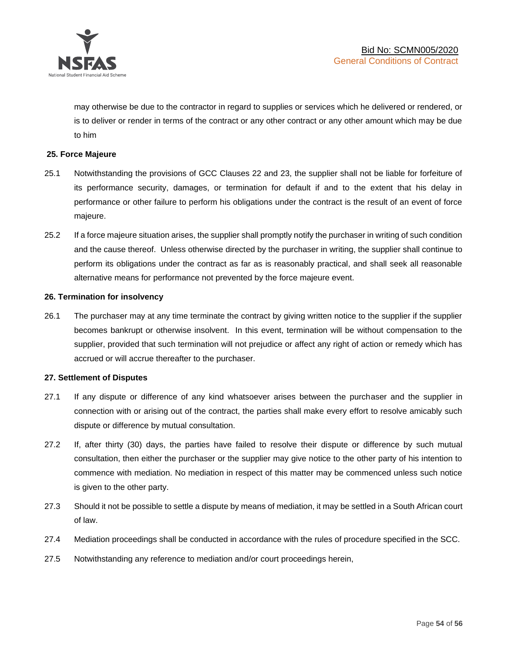

may otherwise be due to the contractor in regard to supplies or services which he delivered or rendered, or is to deliver or render in terms of the contract or any other contract or any other amount which may be due to him

# **25. Force Majeure**

- 25.1 Notwithstanding the provisions of GCC Clauses 22 and 23, the supplier shall not be liable for forfeiture of its performance security, damages, or termination for default if and to the extent that his delay in performance or other failure to perform his obligations under the contract is the result of an event of force majeure.
- 25.2 If a force majeure situation arises, the supplier shall promptly notify the purchaser in writing of such condition and the cause thereof. Unless otherwise directed by the purchaser in writing, the supplier shall continue to perform its obligations under the contract as far as is reasonably practical, and shall seek all reasonable alternative means for performance not prevented by the force majeure event.

#### **26. Termination for insolvency**

26.1 The purchaser may at any time terminate the contract by giving written notice to the supplier if the supplier becomes bankrupt or otherwise insolvent. In this event, termination will be without compensation to the supplier, provided that such termination will not prejudice or affect any right of action or remedy which has accrued or will accrue thereafter to the purchaser.

#### **27. Settlement of Disputes**

- 27.1 If any dispute or difference of any kind whatsoever arises between the purchaser and the supplier in connection with or arising out of the contract, the parties shall make every effort to resolve amicably such dispute or difference by mutual consultation.
- 27.2 If, after thirty (30) days, the parties have failed to resolve their dispute or difference by such mutual consultation, then either the purchaser or the supplier may give notice to the other party of his intention to commence with mediation. No mediation in respect of this matter may be commenced unless such notice is given to the other party.
- 27.3 Should it not be possible to settle a dispute by means of mediation, it may be settled in a South African court of law.
- 27.4 Mediation proceedings shall be conducted in accordance with the rules of procedure specified in the SCC.
- 27.5 Notwithstanding any reference to mediation and/or court proceedings herein,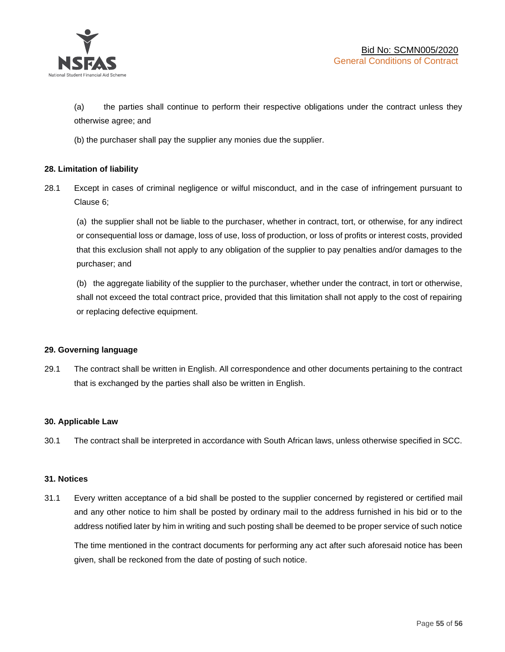

(a) the parties shall continue to perform their respective obligations under the contract unless they otherwise agree; and

(b) the purchaser shall pay the supplier any monies due the supplier.

# **28. Limitation of liability**

28.1 Except in cases of criminal negligence or wilful misconduct, and in the case of infringement pursuant to Clause 6;

(a) the supplier shall not be liable to the purchaser, whether in contract, tort, or otherwise, for any indirect or consequential loss or damage, loss of use, loss of production, or loss of profits or interest costs, provided that this exclusion shall not apply to any obligation of the supplier to pay penalties and/or damages to the purchaser; and

(b) the aggregate liability of the supplier to the purchaser, whether under the contract, in tort or otherwise, shall not exceed the total contract price, provided that this limitation shall not apply to the cost of repairing or replacing defective equipment.

### **29. Governing language**

29.1 The contract shall be written in English. All correspondence and other documents pertaining to the contract that is exchanged by the parties shall also be written in English.

### **30. Applicable Law**

30.1 The contract shall be interpreted in accordance with South African laws, unless otherwise specified in SCC.

### **31. Notices**

31.1 Every written acceptance of a bid shall be posted to the supplier concerned by registered or certified mail and any other notice to him shall be posted by ordinary mail to the address furnished in his bid or to the address notified later by him in writing and such posting shall be deemed to be proper service of such notice

The time mentioned in the contract documents for performing any act after such aforesaid notice has been given, shall be reckoned from the date of posting of such notice.